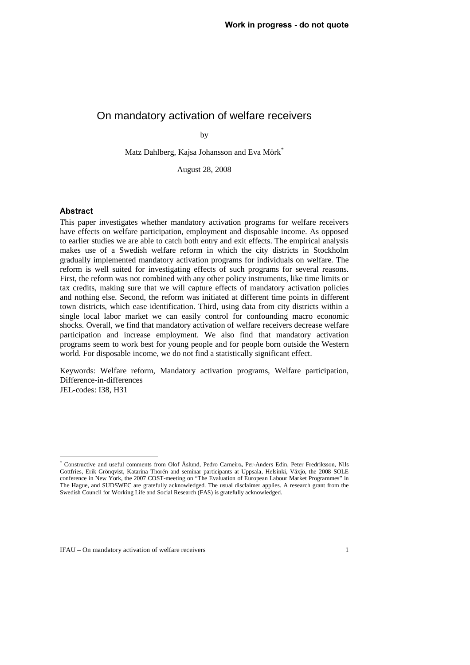#### On mandatory activation of welfare receivers

by

Matz Dahlberg, Kajsa Johansson and Eva Mörk\*

August 28, 2008

#### **Abstract**

 $\overline{a}$ 

This paper investigates whether mandatory activation programs for welfare receivers have effects on welfare participation, employment and disposable income. As opposed to earlier studies we are able to catch both entry and exit effects. The empirical analysis makes use of a Swedish welfare reform in which the city districts in Stockholm gradually implemented mandatory activation programs for individuals on welfare. The reform is well suited for investigating effects of such programs for several reasons. First, the reform was not combined with any other policy instruments, like time limits or tax credits, making sure that we will capture effects of mandatory activation policies and nothing else. Second, the reform was initiated at different time points in different town districts, which ease identification. Third, using data from city districts within a single local labor market we can easily control for confounding macro economic shocks. Overall, we find that mandatory activation of welfare receivers decrease welfare participation and increase employment. We also find that mandatory activation programs seem to work best for young people and for people born outside the Western world. For disposable income, we do not find a statistically significant effect.

Keywords: Welfare reform, Mandatory activation programs, Welfare participation, Difference-in-differences JEL-codes: I38, H31

<sup>\*</sup> Constructive and useful comments from Olof Åslund, Pedro Carneiro, Per-Anders Edin, Peter Fredriksson, Nils<br>Cettrice, Frik Grönaviet, Ketering Therén and cominer perticipants et Unpeels, Helsinki, Växiä, the 2008 SOLE Gottfries, Erik Grönqvist, Katarina Thorén and seminar participants at Uppsala, Helsinki, Växjö, the 2008 SOLE conference in New York, the 2007 COST-meeting on "The Evaluation of European Labour Market Programmes" in The Hague, and SUDSWEC are gratefully acknowledged. The usual disclaimer applies. A research grant from the Swedish Council for Working Life and Social Research (FAS) is gratefully acknowledged.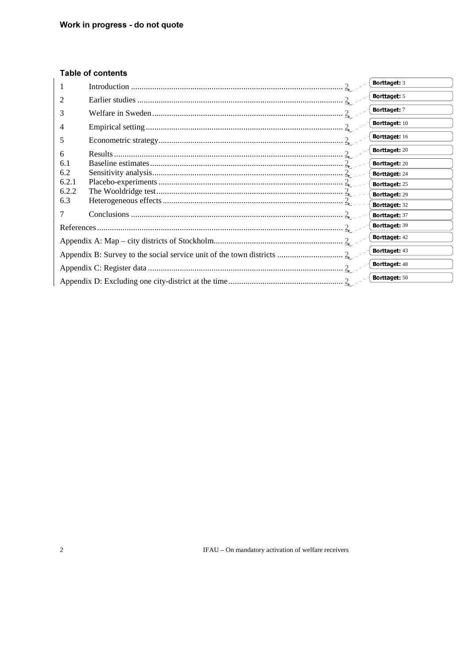### **Table of contents**

| 1     | Borttaget: 3         |
|-------|----------------------|
| 2     | Borttaget: 5         |
| 3     | Borttaget: 7         |
| 4     | Borttaget: 10        |
| 5     | Borttaget: 16        |
| 6     | Borttaget: 20        |
| 6.1   | Borttaget: 20        |
| 6.2   | Borttaget: 24        |
| 6.2.1 | Borttaget: 25        |
| 6.2.2 | Borttaget: 29        |
| 6.3   | Borttaget: 32        |
|       | Borttaget: 37        |
|       | Borttaget: 39        |
|       | Borttaget: 42        |
|       | Borttaget: 43        |
|       | <b>Borttaget: 48</b> |
|       | Borttaget: 50        |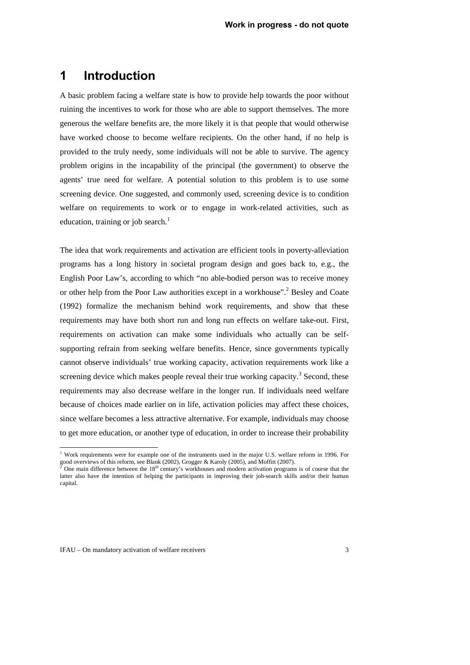### **1** Introduction

A basic problem facing a welfare state is how to provide help towards the poor without ruining the incentives to work for those who are able to support themselves. The more generous the welfare benefits are, the more likely it is that people that would otherwise have worked choose to become welfare recipients. On the other hand, if no help is provided to the truly needy, some individuals will not be able to survive. The agency problem origins in the incapability of the principal (the government) to observe the agents' true need for welfare. A potential solution to this problem is to use some screening device. One suggested, and commonly used, screening device is to condition welfare on requirements to work or to engage in work-related activities, such as education, training or job search.<sup>1</sup>

The idea that work requirements and activation are efficient tools in poverty-alleviation programs has a long history in societal program design and goes back to, e.g., the English Poor Law's, according to which "no able-bodied person was to receive money or other help from the Poor Law authorities except in a workhouse".<sup>2</sup> Besley and Coate (1992) formalize the mechanism behind work requirements, and show that these requirements may have both short run and long run effects on welfare take-out. First, requirements on activation can make some individuals who actually can be selfsupporting refrain from seeking welfare benefits. Hence, since governments typically cannot observe individuals' true working capacity, activation requirements work like a screening device which makes people reveal their true working capacity.<sup>3</sup> Second, these requirements may also decrease welfare in the longer run. If individuals need welfare because of choices made earlier on in life, activation policies may affect these choices, since welfare becomes a less attractive alternative. For example, individuals may choose to get more education, or another type of education, in order to increase their probability

 1 Work requirements were for example one of the instruments used in the major U.S. welfare reform in 1996. For good overviews of this reform, see Blank (2002), Grogger & Karoly (2005), and Moffitt (2007).<br><sup>2</sup> One main difference between the 18<sup>th</sup> century's workhouses and modern activation programs

One main difference between the 18<sup>th</sup> century's workhouses and modern activation programs is of course that the latter also have the intention of helping the participants in improving their job-search skills and/or their human capital.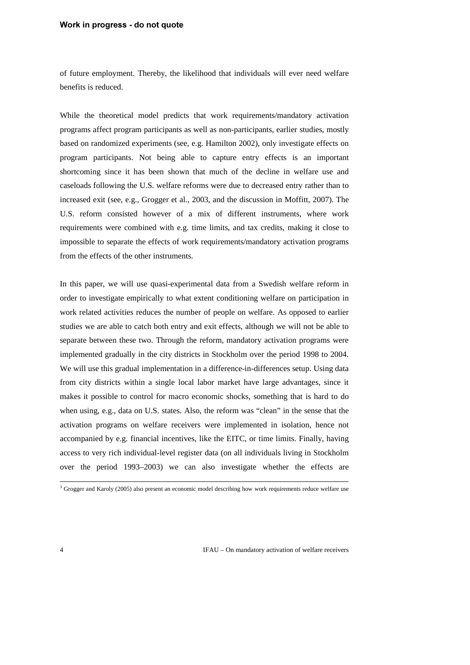#### **Work in progress - do not quote**

of future employment. Thereby, the likelihood that individuals will ever need welfare benefits is reduced.

While the theoretical model predicts that work requirements/mandatory activation programs affect program participants as well as non-participants, earlier studies, mostly based on randomized experiments (see, e.g. Hamilton 2002), only investigate effects on program participants. Not being able to capture entry effects is an important shortcoming since it has been shown that much of the decline in welfare use and caseloads following the U.S. welfare reforms were due to decreased entry rather than to increased exit (see, e.g., Grogger et al., 2003, and the discussion in Moffitt, 2007). The U.S. reform consisted however of a mix of different instruments, where work requirements were combined with e.g. time limits, and tax credits, making it close to impossible to separate the effects of work requirements/mandatory activation programs from the effects of the other instruments.

In this paper, we will use quasi-experimental data from a Swedish welfare reform in order to investigate empirically to what extent conditioning welfare on participation in work related activities reduces the number of people on welfare. As opposed to earlier studies we are able to catch both entry and exit effects, although we will not be able to separate between these two. Through the reform, mandatory activation programs were implemented gradually in the city districts in Stockholm over the period 1998 to 2004. We will use this gradual implementation in a difference-in-differences setup. Using data from city districts within a single local labor market have large advantages, since it makes it possible to control for macro economic shocks, something that is hard to do when using, e.g., data on U.S. states. Also, the reform was "clean" in the sense that the activation programs on welfare receivers were implemented in isolation, hence not accompanied by e.g. financial incentives, like the EITC, or time limits. Finally, having access to very rich individual-level register data (on all individuals living in Stockholm over the period 1993–2003) we can also investigate whether the effects are

 3 Grogger and Karoly (2005) also present an economic model describing how work requirements reduce welfare use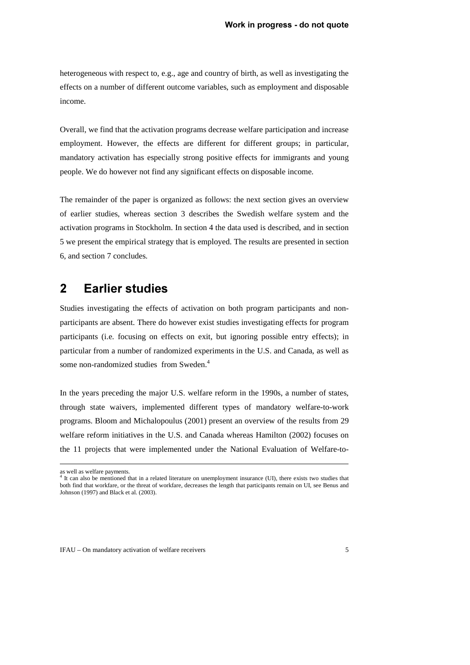heterogeneous with respect to, e.g., age and country of birth, as well as investigating the effects on a number of different outcome variables, such as employment and disposable income.

Overall, we find that the activation programs decrease welfare participation and increase employment. However, the effects are different for different groups; in particular, mandatory activation has especially strong positive effects for immigrants and young people. We do however not find any significant effects on disposable income.

The remainder of the paper is organized as follows: the next section gives an overview of earlier studies, whereas section 3 describes the Swedish welfare system and the activation programs in Stockholm. In section 4 the data used is described, and in section 5 we present the empirical strategy that is employed. The results are presented in section 6, and section 7 concludes.

### **2** Earlier studies

Studies investigating the effects of activation on both program participants and nonparticipants are absent. There do however exist studies investigating effects for program participants (i.e. focusing on effects on exit, but ignoring possible entry effects); in particular from a number of randomized experiments in the U.S. and Canada, as well as some non-randomized studies from Sweden.<sup>4</sup>

In the years preceding the major U.S. welfare reform in the 1990s, a number of states, through state waivers, implemented different types of mandatory welfare-to-work programs. Bloom and Michalopoulus (2001) present an overview of the results from 29 welfare reform initiatives in the U.S. and Canada whereas Hamilton (2002) focuses on the 11 projects that were implemented under the National Evaluation of Welfare-to-

 $\ddot{ }$ 

as well as welfare payments.<br><sup>4</sup> It can also be mentioned that in a related literature on unemployment insurance (UI), there exists two studies that both find that workfare, or the threat of workfare, decreases the length that participants remain on UI, see Benus and Johnson (1997) and Black et al. (2003).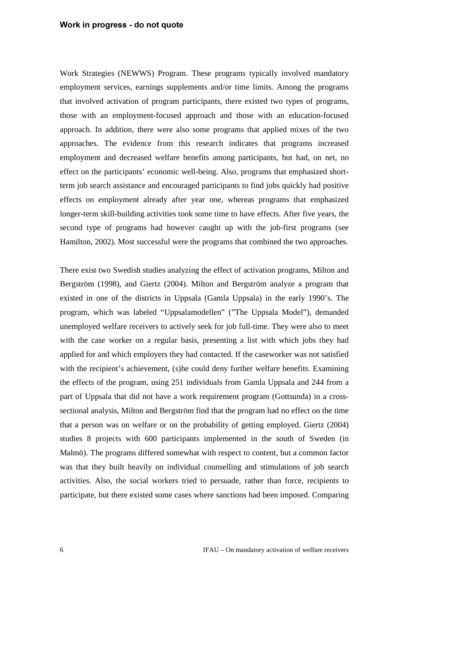Work Strategies (NEWWS) Program. These programs typically involved mandatory employment services, earnings supplements and/or time limits. Among the programs that involved activation of program participants, there existed two types of programs, those with an employment-focused approach and those with an education-focused approach. In addition, there were also some programs that applied mixes of the two approaches. The evidence from this research indicates that programs increased employment and decreased welfare benefits among participants, but had, on net, no effect on the participants' economic well-being. Also, programs that emphasized shortterm job search assistance and encouraged participants to find jobs quickly had positive effects on employment already after year one, whereas programs that emphasized longer-term skill-building activities took some time to have effects. After five years, the second type of programs had however caught up with the job-first programs (see Hamilton, 2002). Most successful were the programs that combined the two approaches.

There exist two Swedish studies analyzing the effect of activation programs, Milton and Bergström (1998), and Giertz (2004). Milton and Bergström analyze a program that existed in one of the districts in Uppsala (Gamla Uppsala) in the early 1990's. The program, which was labeled "Uppsalamodellen" ("The Uppsala Model"), demanded unemployed welfare receivers to actively seek for job full-time. They were also to meet with the case worker on a regular basis, presenting a list with which jobs they had applied for and which employers they had contacted. If the caseworker was not satisfied with the recipient's achievement, (s)he could deny further welfare benefits. Examining the effects of the program, using 251 individuals from Gamla Uppsala and 244 from a part of Uppsala that did not have a work requirement program (Gottsunda) in a crosssectional analysis, Milton and Bergström find that the program had no effect on the time that a person was on welfare or on the probability of getting employed. Giertz (2004) studies 8 projects with 600 participants implemented in the south of Sweden (in Malmö). The programs differed somewhat with respect to content, but a common factor was that they built heavily on individual counselling and stimulations of job search activities. Also, the social workers tried to persuade, rather than force, recipients to participate, but there existed some cases where sanctions had been imposed. Comparing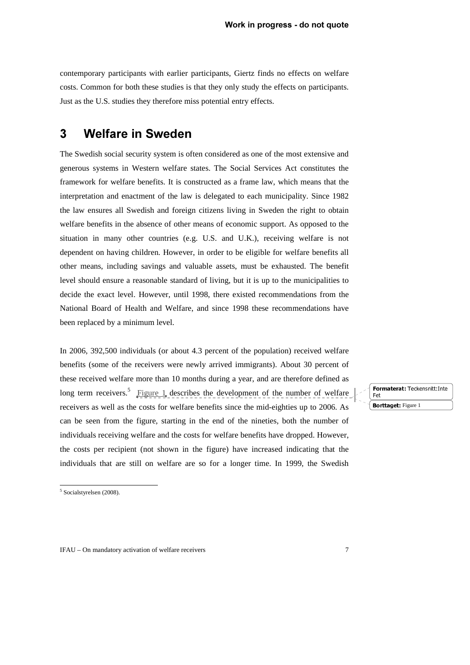contemporary participants with earlier participants, Giertz finds no effects on welfare costs. Common for both these studies is that they only study the effects on participants. Just as the U.S. studies they therefore miss potential entry effects.

### **3** Welfare in Sweden

The Swedish social security system is often considered as one of the most extensive and generous systems in Western welfare states. The Social Services Act constitutes the framework for welfare benefits. It is constructed as a frame law, which means that the interpretation and enactment of the law is delegated to each municipality. Since 1982 the law ensures all Swedish and foreign citizens living in Sweden the right to obtain welfare benefits in the absence of other means of economic support. As opposed to the situation in many other countries (e.g. U.S. and U.K.), receiving welfare is not dependent on having children. However, in order to be eligible for welfare benefits all other means, including savings and valuable assets, must be exhausted. The benefit level should ensure a reasonable standard of living, but it is up to the municipalities to decide the exact level. However, until 1998, there existed recommendations from the National Board of Health and Welfare, and since 1998 these recommendations have been replaced by a minimum level.

In 2006, 392,500 individuals (or about 4.3 percent of the population) received welfare benefits (some of the receivers were newly arrived immigrants). About 30 percent of these received welfare more than 10 months during a year, and are therefore defined as long term receivers.<sup>5</sup> Figure 1 describes the development of the number of welfare receivers as well as the costs for welfare benefits since the mid-eighties up to 2006. As can be seen from the figure, starting in the end of the nineties, both the number of individuals receiving welfare and the costs for welfare benefits have dropped. However, the costs per recipient (not shown in the figure) have increased indicating that the individuals that are still on welfare are so for a longer time. In 1999, the Swedish

**Formaterat:** Teckensnitt: Inte<br>Fet  $\frac{1}{\sqrt{2}}$ **Borttaget:** Figure 1

<sup>5</sup> Socialstyrelsen (2008).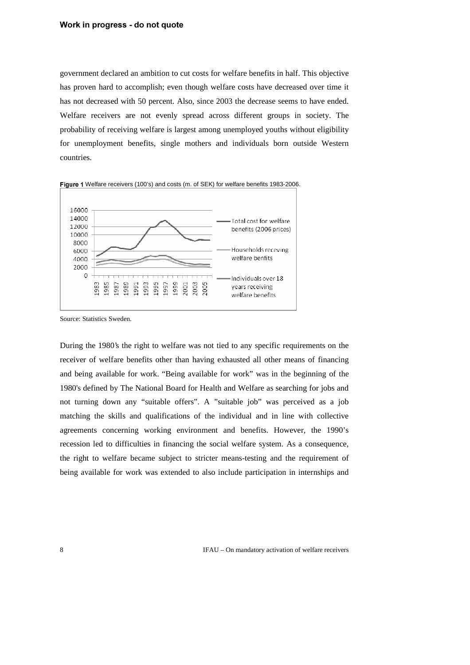government declared an ambition to cut costs for welfare benefits in half. This objective has proven hard to accomplish; even though welfare costs have decreased over time it has not decreased with 50 percent. Also, since 2003 the decrease seems to have ended. Welfare receivers are not evenly spread across different groups in society. The probability of receiving welfare is largest among unemployed youths without eligibility for unemployment benefits, single mothers and individuals born outside Western countries.



Figure 1 Welfare receivers (100's) and costs (m. of SEK) for welfare benefits 1983-2006.

During the 1980's the right to welfare was not tied to any specific requirements on the receiver of welfare benefits other than having exhausted all other means of financing and being available for work. "Being available for work" was in the beginning of the 1980's defined by The National Board for Health and Welfare as searching for jobs and not turning down any "suitable offers". A "suitable job" was perceived as a job matching the skills and qualifications of the individual and in line with collective agreements concerning working environment and benefits. However, the 1990's recession led to difficulties in financing the social welfare system. As a consequence, the right to welfare became subject to stricter means-testing and the requirement of being available for work was extended to also include participation in internships and

Source: Statistics Sweden.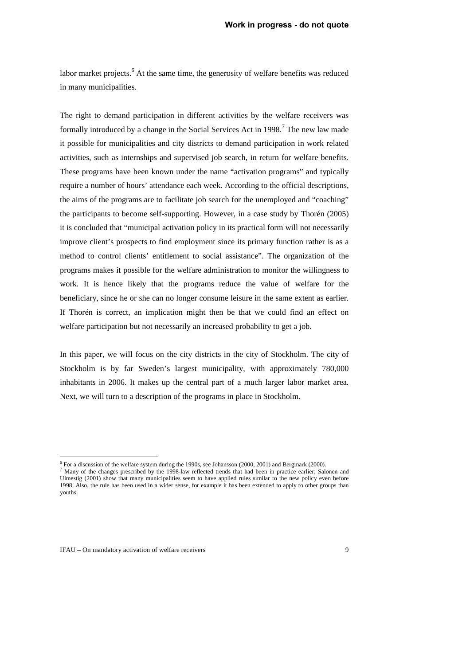labor market projects.<sup>6</sup> At the same time, the generosity of welfare benefits was reduced in many municipalities.

The right to demand participation in different activities by the welfare receivers was formally introduced by a change in the Social Services Act in 1998.<sup>7</sup> The new law made it possible for municipalities and city districts to demand participation in work related activities, such as internships and supervised job search, in return for welfare benefits. These programs have been known under the name "activation programs" and typically require a number of hours' attendance each week. According to the official descriptions, the aims of the programs are to facilitate job search for the unemployed and "coaching" the participants to become self-supporting. However, in a case study by Thorén (2005) it is concluded that "municipal activation policy in its practical form will not necessarily improve client's prospects to find employment since its primary function rather is as a method to control clients' entitlement to social assistance". The organization of the programs makes it possible for the welfare administration to monitor the willingness to work. It is hence likely that the programs reduce the value of welfare for the beneficiary, since he or she can no longer consume leisure in the same extent as earlier. If Thorén is correct, an implication might then be that we could find an effect on welfare participation but not necessarily an increased probability to get a job.

In this paper, we will focus on the city districts in the city of Stockholm. The city of Stockholm is by far Sweden's largest municipality, with approximately 780,000 inhabitants in 2006. It makes up the central part of a much larger labor market area. Next, we will turn to a description of the programs in place in Stockholm.

 $\overline{a}$ 

<sup>&</sup>lt;sup>6</sup> For a discussion of the welfare system during the 1990s, see Johansson (2000, 2001) and Bergmark (2000).

 $<sup>7</sup>$  Many of the changes prescribed by the 1998-law reflected trends that had been in practice earlier; Salonen and</sup> Ulmestig (2001) show that many municipalities seem to have applied rules similar to the new policy even before 1998. Also, the rule has been used in a wider sense, for example it has been extended to apply to other groups than youths.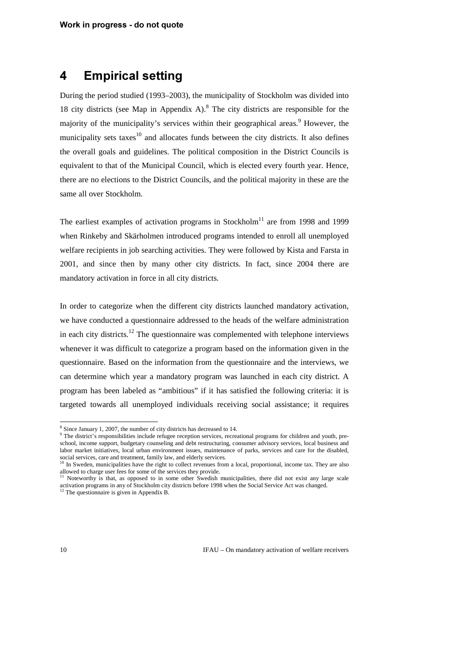### **4** Empirical setting

During the period studied (1993–2003), the municipality of Stockholm was divided into 18 city districts (see Map in Appendix A). $8$  The city districts are responsible for the majority of the municipality's services within their geographical areas.<sup>9</sup> However, the municipality sets taxes<sup>10</sup> and allocates funds between the city districts. It also defines the overall goals and guidelines. The political composition in the District Councils is equivalent to that of the Municipal Council, which is elected every fourth year. Hence, there are no elections to the District Councils, and the political majority in these are the same all over Stockholm.

The earliest examples of activation programs in Stockholm<sup>11</sup> are from 1998 and 1999 when Rinkeby and Skärholmen introduced programs intended to enroll all unemployed welfare recipients in job searching activities. They were followed by Kista and Farsta in 2001, and since then by many other city districts. In fact, since 2004 there are mandatory activation in force in all city districts.

In order to categorize when the different city districts launched mandatory activation, we have conducted a questionnaire addressed to the heads of the welfare administration in each city districts.<sup>12</sup> The questionnaire was complemented with telephone interviews whenever it was difficult to categorize a program based on the information given in the questionnaire. Based on the information from the questionnaire and the interviews, we can determine which year a mandatory program was launched in each city district. A program has been labeled as "ambitious" if it has satisfied the following criteria: it is targeted towards all unemployed individuals receiving social assistance; it requires

<sup>&</sup>lt;sup>8</sup> Since January 1, 2007, the number of city districts has decreased to 14.

<sup>&</sup>lt;sup>9</sup> The district's responsibilities include refugee reception services, recreational programs for children and youth, preschool, income support, budgetary counseling and debt restructuring, consumer advisory services, local business and labor market initiatives, local urban environment issues, maintenance of parks, services and care for the disabled, social services, care and treatment, family law, and elderly services.<br><sup>10</sup> In Sweden, municipalities have the right to collect revenues from a local, proportional, income tax. They are also

allowed to charge user fees for some of the services they provide.<br><sup>11</sup> Noteworthy is that, as opposed to in some other Swedish municipalities, there did not exist any large scale

activation programs in any of Stockholm city districts before 1998 when the Social Service Act was changed. <sup>12</sup> The questionnaire is given in Appendix B.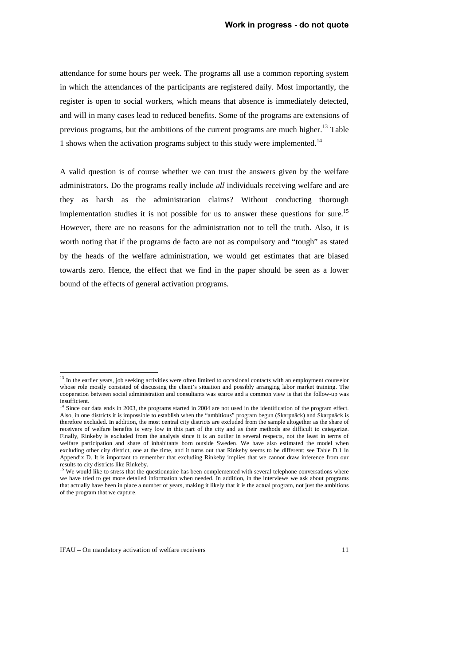attendance for some hours per week. The programs all use a common reporting system in which the attendances of the participants are registered daily. Most importantly, the register is open to social workers, which means that absence is immediately detected, and will in many cases lead to reduced benefits. Some of the programs are extensions of previous programs, but the ambitions of the current programs are much higher.<sup>13</sup> Table 1 shows when the activation programs subject to this study were implemented.<sup>14</sup>

A valid question is of course whether we can trust the answers given by the welfare administrators. Do the programs really include *all* individuals receiving welfare and are they as harsh as the administration claims? Without conducting thorough implementation studies it is not possible for us to answer these questions for sure.<sup>15</sup> However, there are no reasons for the administration not to tell the truth. Also, it is worth noting that if the programs de facto are not as compulsory and "tough" as stated by the heads of the welfare administration, we would get estimates that are biased towards zero. Hence, the effect that we find in the paper should be seen as a lower bound of the effects of general activation programs.

 $\overline{a}$ 

 $13$  In the earlier years, job seeking activities were often limited to occasional contacts with an employment counselor whose role mostly consisted of discussing the client's situation and possibly arranging labor market training. The cooperation between social administration and consultants was scarce and a common view is that the follow-up was

insufficient.<br><sup>14</sup> Since our data ends in 2003, the programs started in 2004 are not used in the identification of the program effect. Also, in one districts it is impossible to establish when the "ambitious" program begun (Skarpnäck) and Skarpnäck is therefore excluded. In addition, the most central city districts are excluded from the sample altogether as the share of receivers of welfare benefits is very low in this part of the city and as their methods are difficult to categorize. Finally, Rinkeby is excluded from the analysis since it is an outlier in several respects, not the least in terms of welfare participation and share of inhabitants born outside Sweden. We have also estimated the model when excluding other city district, one at the time, and it turns out that Rinkeby seems to be different; see Table D.1 in Appendix D. It is important to remember that excluding Rinkeby implies that we cannot draw inference from our

results to city districts like Rinkeby.<br><sup>15</sup> We would like to stress that the questionnaire has been complemented with several telephone conversations where we have tried to get more detailed information when needed. In addition, in the interviews we ask about programs that actually have been in place a number of years, making it likely that it is the actual program, not just the ambitions of the program that we capture.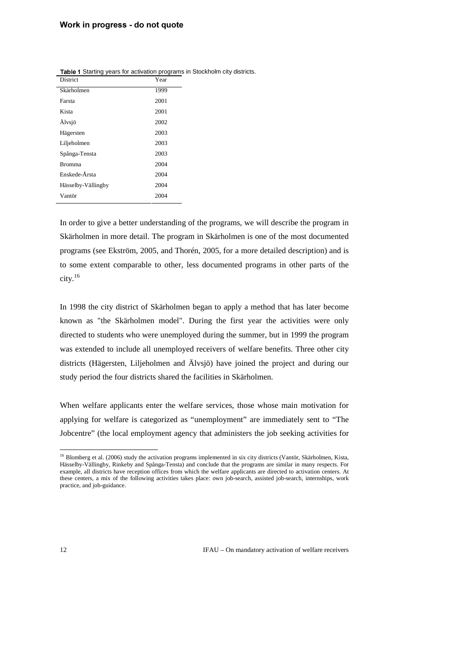| District           | Year |
|--------------------|------|
| Skärholmen         | 1999 |
| Farsta             | 2001 |
| Kista              | 2001 |
| Älvsjö             | 2002 |
| Hägersten          | 2003 |
| Liljeholmen        | 2003 |
| Spånga-Tensta      | 2003 |
| Bromma             | 2004 |
| Enskede-Årsta      | 2004 |
| Hässelby-Vällingby | 2004 |
| Vantör             | 2004 |

Table 1 Starting years for activation programs in Stockholm city districts.

In order to give a better understanding of the programs, we will describe the program in Skärholmen in more detail. The program in Skärholmen is one of the most documented programs (see Ekström, 2005, and Thorén, 2005, for a more detailed description) and is to some extent comparable to other, less documented programs in other parts of the city.<sup>16</sup>

In 1998 the city district of Skärholmen began to apply a method that has later become known as "the Skärholmen model". During the first year the activities were only directed to students who were unemployed during the summer, but in 1999 the program was extended to include all unemployed receivers of welfare benefits. Three other city districts (Hägersten, Liljeholmen and Älvsjö) have joined the project and during our study period the four districts shared the facilities in Skärholmen.

When welfare applicants enter the welfare services, those whose main motivation for applying for welfare is categorized as "unemployment" are immediately sent to "The Jobcentre" (the local employment agency that administers the job seeking activities for

 $\overline{a}$ <sup>16</sup> Blomberg et al. (2006) study the activation programs implemented in six city districts (Vantör, Skärholmen, Kista, Hässelby-Vällingby, Rinkeby and Spånga-Tensta) and conclude that the programs are similar in many respects. For example, all districts have reception offices from which the welfare applicants are directed to activation centers. At these centers, a mix of the following activities takes place: own job-search, assisted job-search, internships, work practice, and job-guidance.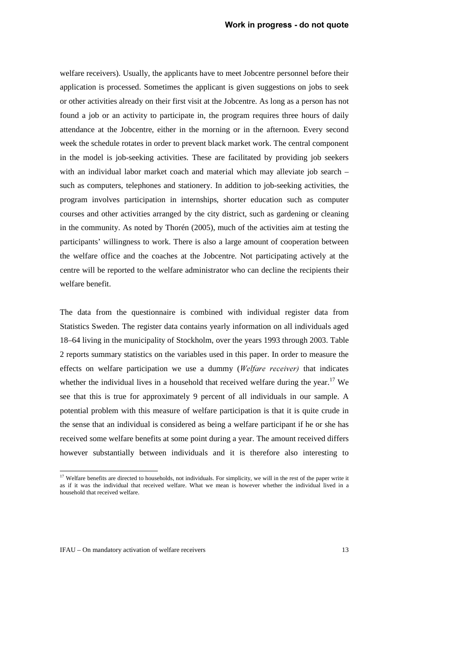welfare receivers). Usually, the applicants have to meet Jobcentre personnel before their application is processed. Sometimes the applicant is given suggestions on jobs to seek or other activities already on their first visit at the Jobcentre. As long as a person has not found a job or an activity to participate in, the program requires three hours of daily attendance at the Jobcentre, either in the morning or in the afternoon. Every second week the schedule rotates in order to prevent black market work. The central component in the model is job-seeking activities. These are facilitated by providing job seekers with an individual labor market coach and material which may alleviate job search – such as computers, telephones and stationery. In addition to job-seeking activities, the program involves participation in internships, shorter education such as computer courses and other activities arranged by the city district, such as gardening or cleaning in the community. As noted by Thorén (2005), much of the activities aim at testing the participants' willingness to work. There is also a large amount of cooperation between the welfare office and the coaches at the Jobcentre. Not participating actively at the centre will be reported to the welfare administrator who can decline the recipients their welfare benefit.

The data from the questionnaire is combined with individual register data from Statistics Sweden. The register data contains yearly information on all individuals aged 18–64 living in the municipality of Stockholm, over the years 1993 through 2003. Table 2 reports summary statistics on the variables used in this paper. In order to measure the effects on welfare participation we use a dummy (*Welfare receiver*) that indicates whether the individual lives in a household that received welfare during the year.<sup>17</sup> We see that this is true for approximately 9 percent of all individuals in our sample. A potential problem with this measure of welfare participation is that it is quite crude in the sense that an individual is considered as being a welfare participant if he or she has received some welfare benefits at some point during a year. The amount received differs however substantially between individuals and it is therefore also interesting to

 $\overline{a}$ 

 $17$  Welfare benefits are directed to households, not individuals. For simplicity, we will in the rest of the paper write it as if it was the individual that received welfare. What we mean is however whether the individual lived in a household that received welfare.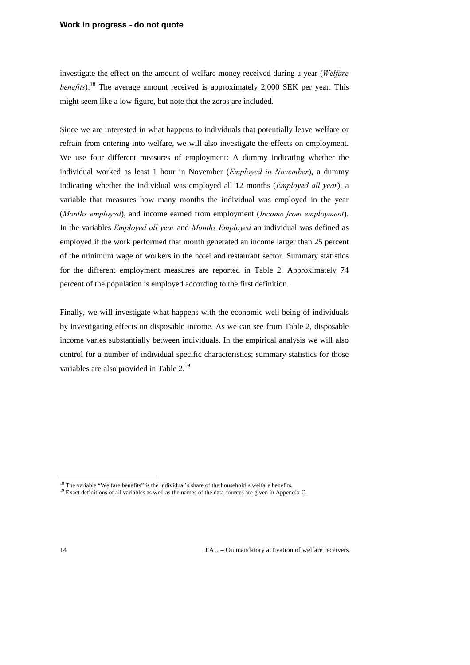#### **Work in progress - do not quote**

investigate the effect on the amount of welfare money received during a year (*Welfare benefits*).<sup>18</sup> The average amount received is approximately 2,000 SEK per year. This might seem like a low figure, but note that the zeros are included.

Since we are interested in what happens to individuals that potentially leave welfare or refrain from entering into welfare, we will also investigate the effects on employment. We use four different measures of employment: A dummy indicating whether the individual worked as least 1 hour in November (*Employed in November*), a dummy indicating whether the individual was employed all 12 months (*Employed all year*), a variable that measures how many months the individual was employed in the year (*Months employed*), and income earned from employment (*Income from employment*). In the variables *Employed all year* and *Months Employed* an individual was defined as employed if the work performed that month generated an income larger than 25 percent of the minimum wage of workers in the hotel and restaurant sector. Summary statistics for the different employment measures are reported in Table 2. Approximately 74 percent of the population is employed according to the first definition.

Finally, we will investigate what happens with the economic well-being of individuals by investigating effects on disposable income. As we can see from Table 2, disposable income varies substantially between individuals. In the empirical analysis we will also control for a number of individual specific characteristics; summary statistics for those variables are also provided in Table 2.<sup>19</sup>

 <sup>18</sup> The variable "Welfare benefits" is the individual's share of the household's welfare benefits.

<sup>&</sup>lt;sup>19</sup> Exact definitions of all variables as well as the names of the data sources are given in Appendix C.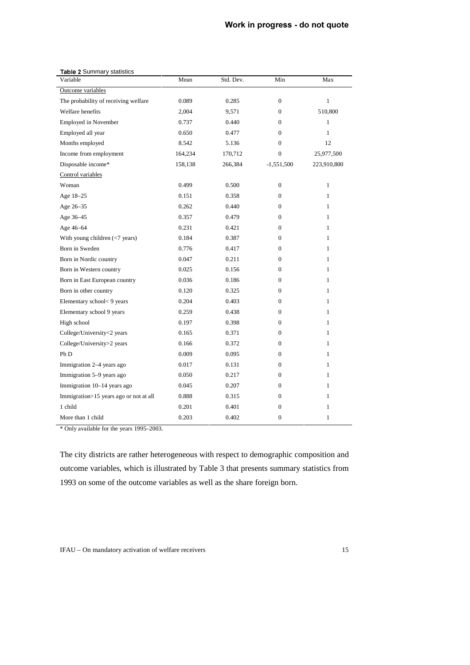#### Work in progress - do not quote

| Table 2 Summary statistics             |         |           |                  |              |  |  |
|----------------------------------------|---------|-----------|------------------|--------------|--|--|
| Variable                               | Mean    | Std. Dev. | Min              | Max          |  |  |
| Outcome variables                      |         |           |                  |              |  |  |
| The probability of receiving welfare   | 0.089   | 0.285     | $\Omega$         | $\mathbf{1}$ |  |  |
| Welfare benefits                       | 2,004   | 9,571     | $\mathbf{0}$     | 510,800      |  |  |
| <b>Employed in November</b>            | 0.737   | 0.440     | $\mathbf{0}$     | $\mathbf{1}$ |  |  |
| Employed all year                      | 0.650   | 0.477     | $\Omega$         | 1            |  |  |
| Months employed                        | 8.542   | 5.136     | $\mathbf{0}$     | 12           |  |  |
| Income from employment                 | 164,234 | 170,712   | $\boldsymbol{0}$ | 25,977,500   |  |  |
| Disposable income*                     | 158,138 | 266,384   | $-1,551,500$     | 223,910,800  |  |  |
| Control variables                      |         |           |                  |              |  |  |
| Woman                                  | 0.499   | 0.500     | $\boldsymbol{0}$ | $\mathbf{1}$ |  |  |
| Age 18-25                              | 0.151   | 0.358     | $\mathbf{0}$     | $\mathbf{1}$ |  |  |
| Age 26-35                              | 0.262   | 0.440     | $\mathbf{0}$     | 1            |  |  |
| Age 36–45                              | 0.357   | 0.479     | $\mathbf{0}$     | 1            |  |  |
| Age 46-64                              | 0.231   | 0.421     | $\mathbf{0}$     | 1            |  |  |
| With young children $(< 7$ years)      | 0.184   | 0.387     | $\Omega$         | 1            |  |  |
| Born in Sweden                         | 0.776   | 0.417     | $\mathbf{0}$     | $\mathbf{1}$ |  |  |
| Born in Nordic country                 | 0.047   | 0.211     | $\mathbf{0}$     | 1            |  |  |
| Born in Western country                | 0.025   | 0.156     | $\mathbf{0}$     | $\mathbf{1}$ |  |  |
| Born in East European country          | 0.036   | 0.186     | $\boldsymbol{0}$ | $\mathbf{1}$ |  |  |
| Born in other country                  | 0.120   | 0.325     | $\mathbf{0}$     | 1            |  |  |
| Elementary school<9 years              | 0.204   | 0.403     | $\Omega$         | 1            |  |  |
| Elementary school 9 years              | 0.259   | 0.438     | $\theta$         | $\mathbf{1}$ |  |  |
| High school                            | 0.197   | 0.398     | $\mathbf{0}$     | 1            |  |  |
| College/University<2 years             | 0.165   | 0.371     | $\mathbf{0}$     | 1            |  |  |
| College/University>2 years             | 0.166   | 0.372     | $\mathbf{0}$     | 1            |  |  |
| Ph <sub>D</sub>                        | 0.009   | 0.095     | $\mathbf{0}$     | $\mathbf{1}$ |  |  |
| Immigration 2-4 years ago              | 0.017   | 0.131     | $\mathbf{0}$     | 1            |  |  |
| Immigration 5-9 years ago              | 0.050   | 0.217     | $\mathbf{0}$     | $\mathbf{1}$ |  |  |
| Immigration 10–14 years ago            | 0.045   | 0.207     | $\mathbf{0}$     | $\mathbf{1}$ |  |  |
| Immigration>15 years ago or not at all | 0.888   | 0.315     | 0                | 1            |  |  |
| 1 child                                | 0.201   | 0.401     | $\boldsymbol{0}$ | 1            |  |  |
| More than 1 child                      | 0.203   | 0.402     | $\mathbf{0}$     | $\mathbf{1}$ |  |  |

\* Only available for the years 1995–2003.

The city districts are rather heterogeneous with respect to demographic composition and outcome variables, which is illustrated by Table 3 that presents summary statistics from 1993 on some of the outcome variables as well as the share foreign born.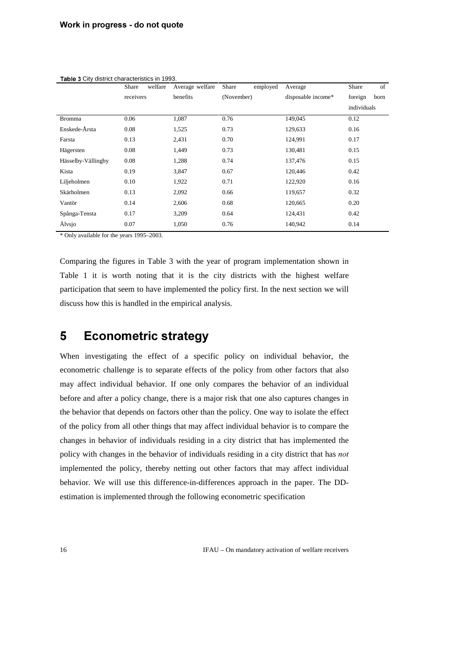|                    | welfare<br>Share | Average welfare | Share<br>employed | Average            | of<br>Share     |
|--------------------|------------------|-----------------|-------------------|--------------------|-----------------|
|                    | receivers        | benefits        | (November)        | disposable income* | foreign<br>born |
|                    |                  |                 |                   |                    | individuals     |
| <b>Bromma</b>      | 0.06             | 1,087           | 0.76              | 149,045            | 0.12            |
| Enskede-Årsta      | 0.08             | 1,525           | 0.73              | 129,633            | 0.16            |
| Farsta             | 0.13             | 2,431           | 0.70              | 124,991            | 0.17            |
| Hägersten          | 0.08             | 1,449           | 0.73              | 130,481            | 0.15            |
| Hässelby-Vällingby | 0.08             | 1,288           | 0.74              | 137,476            | 0.15            |
| Kista              | 0.19             | 3,847           | 0.67              | 120,446            | 0.42            |
| Liljeholmen        | 0.10             | 1,922           | 0.71              | 122,920            | 0.16            |
| Skärholmen         | 0.13             | 2,092           | 0.66              | 119,657            | 0.32            |
| Vantör             | 0.14             | 2,606           | 0.68              | 120,665            | 0.20            |
| Spånga-Tensta      | 0.17             | 3,209           | 0.64              | 124,431            | 0.42            |
| Älvsjo             | 0.07             | 1,050           | 0.76              | 140,942            | 0.14            |

Table 3 City district characteristics in 1993.

\* Only available for the years 1995–2003.

Comparing the figures in Table 3 with the year of program implementation shown in Table 1 it is worth noting that it is the city districts with the highest welfare participation that seem to have implemented the policy first. In the next section we will discuss how this is handled in the empirical analysis.

### **5** Econometric strategy

When investigating the effect of a specific policy on individual behavior, the econometric challenge is to separate effects of the policy from other factors that also may affect individual behavior. If one only compares the behavior of an individual before and after a policy change, there is a major risk that one also captures changes in the behavior that depends on factors other than the policy. One way to isolate the effect of the policy from all other things that may affect individual behavior is to compare the changes in behavior of individuals residing in a city district that has implemented the policy with changes in the behavior of individuals residing in a city district that has *not* implemented the policy, thereby netting out other factors that may affect individual behavior. We will use this difference-in-differences approach in the paper. The DDestimation is implemented through the following econometric specification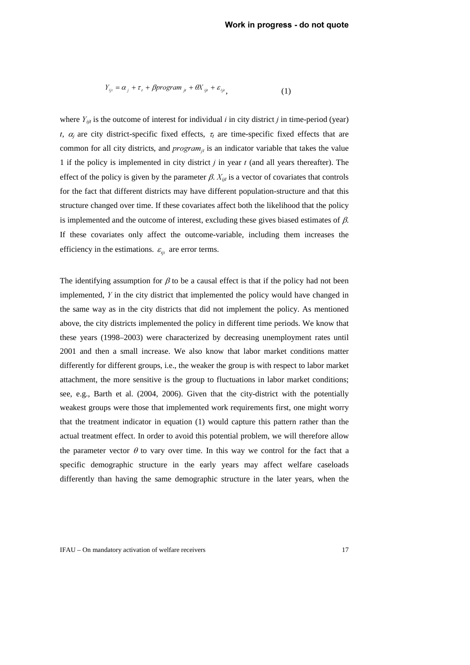$$
Y_{ijt} = \alpha_j + \tau_t + \beta program_{jt} + \theta X_{ijt} + \varepsilon_{ijt}, \qquad (1)
$$

where  $Y_{ij}$  is the outcome of interest for individual *i* in city district *j* in time-period (year) *t*,  $\alpha_j$  are city district-specific fixed effects,  $\tau_i$  are time-specific fixed effects that are common for all city districts, and  $program_{ij}$  is an indicator variable that takes the value 1 if the policy is implemented in city district *j* in year *t* (and all years thereafter). The effect of the policy is given by the parameter  $\beta$ .  $X_{ij}$  is a vector of covariates that controls for the fact that different districts may have different population-structure and that this structure changed over time. If these covariates affect both the likelihood that the policy is implemented and the outcome of interest, excluding these gives biased estimates of  $\beta$ . If these covariates only affect the outcome-variable, including them increases the efficiency in the estimations.  $\varepsilon_{ijt}$  are error terms.

The identifying assumption for  $\beta$  to be a causal effect is that if the policy had not been implemented, *Y* in the city district that implemented the policy would have changed in the same way as in the city districts that did not implement the policy. As mentioned above, the city districts implemented the policy in different time periods. We know that these years (1998–2003) were characterized by decreasing unemployment rates until 2001 and then a small increase. We also know that labor market conditions matter differently for different groups, i.e., the weaker the group is with respect to labor market attachment, the more sensitive is the group to fluctuations in labor market conditions; see, e.g., Barth et al. (2004, 2006). Given that the city-district with the potentially weakest groups were those that implemented work requirements first, one might worry that the treatment indicator in equation (1) would capture this pattern rather than the actual treatment effect. In order to avoid this potential problem, we will therefore allow the parameter vector  $\theta$  to vary over time. In this way we control for the fact that a specific demographic structure in the early years may affect welfare caseloads differently than having the same demographic structure in the later years, when the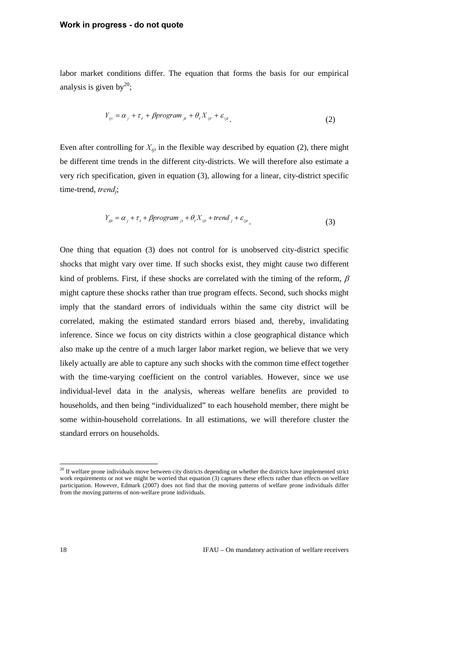labor market conditions differ. The equation that forms the basis for our empirical analysis is given by $^{20}$ ;

$$
Y_{ijt} = \alpha_j + \tau_t + \beta program_{jt} + \theta_t X_{ijt} + \varepsilon_{ijt}.
$$
 (2)

Even after controlling for  $X_{ij}$  in the flexible way described by equation (2), there might be different time trends in the different city-districts. We will therefore also estimate a very rich specification, given in equation (3), allowing for a linear, city-district specific time-trend, *trend<sub>i</sub>*;

$$
Y_{ij} = \alpha_j + \tau_i + \beta program_{jt} + \theta_i X_{ijt} + trend_j + \varepsilon_{ijt} \tag{3}
$$

One thing that equation (3) does not control for is unobserved city-district specific shocks that might vary over time. If such shocks exist, they might cause two different kind of problems. First, if these shocks are correlated with the timing of the reform,  $\beta$ might capture these shocks rather than true program effects. Second, such shocks might imply that the standard errors of individuals within the same city district will be correlated, making the estimated standard errors biased and, thereby, invalidating inference. Since we focus on city districts within a close geographical distance which also make up the centre of a much larger labor market region, we believe that we very likely actually are able to capture any such shocks with the common time effect together with the time-varying coefficient on the control variables. However, since we use individual-level data in the analysis, whereas welfare benefits are provided to households, and then being "individualized" to each household member, there might be some within-household correlations. In all estimations, we will therefore cluster the standard errors on households.

 $\ddot{ }$ 

 $20$  If welfare prone individuals move between city districts depending on whether the districts have implemented strict work requirements or not we might be worried that equation (3) captures these effects rather than effects on welfare participation. However, Edmark (2007) does not find that the moving patterns of welfare prone individuals differ from the moving patterns of non-welfare prone individuals.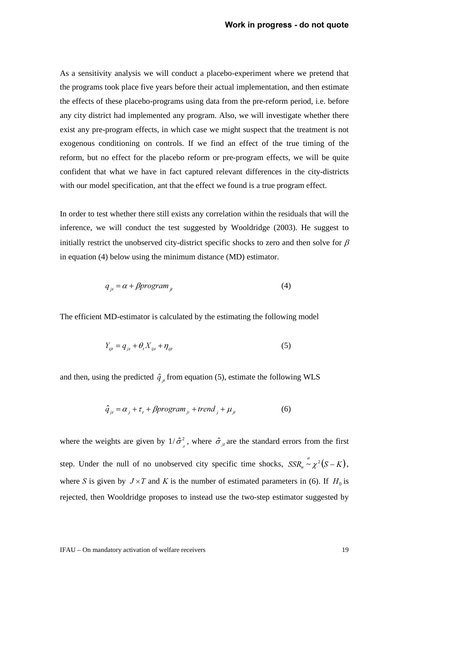As a sensitivity analysis we will conduct a placebo-experiment where we pretend that the programs took place five years before their actual implementation, and then estimate the effects of these placebo-programs using data from the pre-reform period, i.e. before any city district had implemented any program. Also, we will investigate whether there exist any pre-program effects, in which case we might suspect that the treatment is not exogenous conditioning on controls. If we find an effect of the true timing of the reform, but no effect for the placebo reform or pre-program effects, we will be quite confident that what we have in fact captured relevant differences in the city-districts with our model specification, ant that the effect we found is a true program effect.

In order to test whether there still exists any correlation within the residuals that will the inference, we will conduct the test suggested by Wooldridge (2003). He suggest to initially restrict the unobserved city-district specific shocks to zero and then solve for  $\beta$ in equation (4) below using the minimum distance (MD) estimator.

$$
q_{ji} = \alpha + \beta program_{ji} \tag{4}
$$

The efficient MD-estimator is calculated by the estimating the following model

$$
Y_{ijt} = q_{jt} + \theta_t X_{ijt} + \eta_{ijt}
$$
\n<sup>(5)</sup>

and then, using the predicted  $\hat{q}_{\mu}$  from equation (5), estimate the following WLS

$$
\hat{q}_{jt} = \alpha_j + \tau_t + \beta program_{jt} + trend_j + \mu_{jt}
$$
\n(6)

where the weights are given by  $1/\hat{\sigma}_{i}^{2}$ , where  $\hat{\sigma}_{i}$  are the standard errors from the first MW step. Under the null of no unobserved city specific time shocks,  $SSR<sub>w</sub> \sim \chi^2(S-K)$ , where *S* is given by  $J \times T$  and *K* is the number of estimated parameters in (6). If  $H_0$  is rejected, then Wooldridge proposes to instead use the two-step estimator suggested by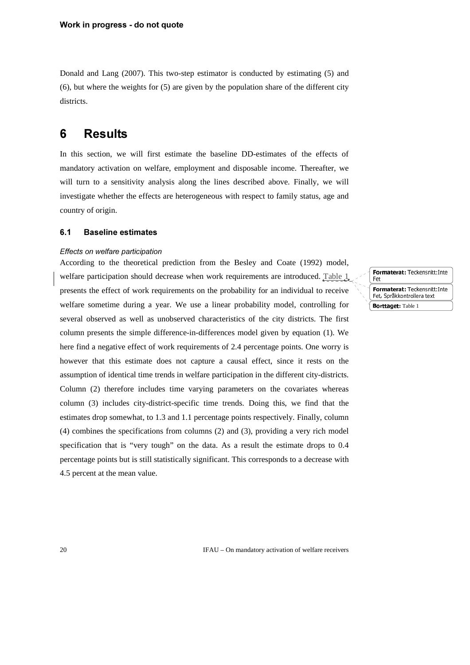Donald and Lang (2007). This two-step estimator is conducted by estimating (5) and (6), but where the weights for (5) are given by the population share of the different city districts.

### **6** Results

In this section, we will first estimate the baseline DD-estimates of the effects of mandatory activation on welfare, employment and disposable income. Thereafter, we will turn to a sensitivity analysis along the lines described above. Finally, we will investigate whether the effects are heterogeneous with respect to family status, age and country of origin.

#### 6.1 **Baseline estimates**

#### **Effects on welfare participation**

According to the theoretical prediction from the Besley and Coate (1992) model, welfare participation should decrease when work requirements are introduced. Table 1 presents the effect of work requirements on the probability for an individual to receive welfare sometime during a year. We use a linear probability model, controlling for several observed as well as unobserved characteristics of the city districts. The first column presents the simple difference-in-differences model given by equation (1). We here find a negative effect of work requirements of 2.4 percentage points. One worry is however that this estimate does not capture a causal effect, since it rests on the assumption of identical time trends in welfare participation in the different city-districts. Column (2) therefore includes time varying parameters on the covariates whereas column (3) includes city-district-specific time trends. Doing this, we find that the estimates drop somewhat, to 1.3 and 1.1 percentage points respectively. Finally, column (4) combines the specifications from columns (2) and (3), providing a very rich model specification that is "very tough" on the data. As a result the estimate drops to 0.4 percentage points but is still statistically significant. This corresponds to a decrease with 4.5 percent at the mean value.

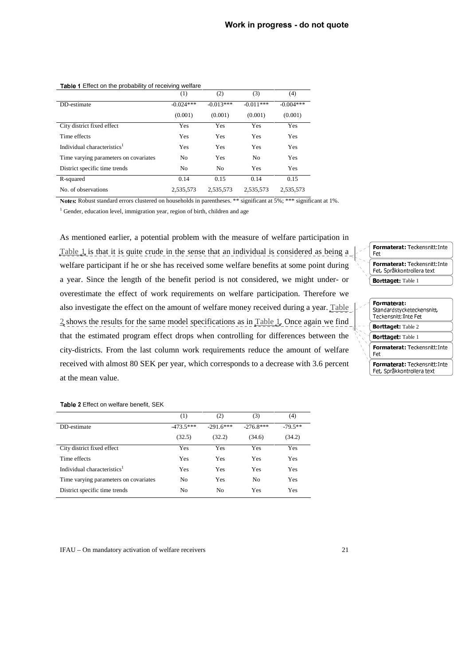|                                         | (1)         | (2)            | (3)            | (4)         |
|-----------------------------------------|-------------|----------------|----------------|-------------|
| DD-estimate                             | $-0.024***$ | $-0.013***$    | $-0.011***$    | $-0.004***$ |
|                                         | (0.001)     | (0.001)        | (0.001)        | (0.001)     |
| City district fixed effect              | Yes         | Yes            | Yes            | Yes         |
| Time effects                            | Yes         | Yes            | Yes            | Yes         |
| Individual characteristics <sup>1</sup> | Yes         | Yes            | Yes            | Yes         |
| Time varying parameters on covariates   | No          | Yes            | N <sub>0</sub> | Yes         |
| District specific time trends           | No          | N <sub>0</sub> | Yes            | Yes         |
| R-squared                               | 0.14        | 0.15           | 0.14           | 0.15        |
| No. of observations                     | 2,535,573   | 2,535,573      | 2,535,573      | 2,535,573   |

#### Table 1 Effect on the probability of receiving welfare

Notes: Robust standard errors clustered on households in parentheses. \*\* significant at 5%; \*\*\* significant at 1%.

<sup>1</sup> Gender, education level, immigration year, region of birth, children and age

As mentioned earlier, a potential problem with the measure of welfare participation in Table  $1$ , is that it is quite crude in the sense that an individual is considered as being a welfare participant if he or she has received some welfare benefits at some point during a year. Since the length of the benefit period is not considered, we might under- or overestimate the effect of work requirements on welfare participation. Therefore we also investigate the effect on the amount of welfare money received during a year. Table  $2$  shows the results for the same model specifications as in Table 1. Once again we find that the estimated program effect drops when controlling for differences between the city-districts. From the last column work requirements reduce the amount of welfare received with almost 80 SEK per year, which corresponds to a decrease with 3.6 percent at the mean value.

#### Formaterat: Teckensnitt: Inte Fet<br>Formaterat: Teckensnitt: Inte Political der Fouremonterinte<br>Est Car<sup>8</sup>kkontrolleratovt <u>Hyperatuona</u> **Borttaget:** Table 1



#### Table 2 Effect on welfare benefit, SEK

|                                         | (1)         | (2)            | (3)            | (4)       |
|-----------------------------------------|-------------|----------------|----------------|-----------|
| DD-estimate                             | $-473.5***$ | $-2916***$     | $-276.8***$    | $-795$ ** |
|                                         | (32.5)      | (32.2)         | (34.6)         | (34.2)    |
| City district fixed effect              | Yes         | Yes            | Yes            | Yes       |
| Time effects                            | Yes         | Yes            | Yes            | Yes       |
| Individual characteristics <sup>1</sup> | Yes         | Yes            | Yes            | Yes       |
| Time varying parameters on covariates   | No          | Yes            | N <sub>0</sub> | Yes       |
| District specific time trends           | No          | N <sub>0</sub> | Yes            | Yes       |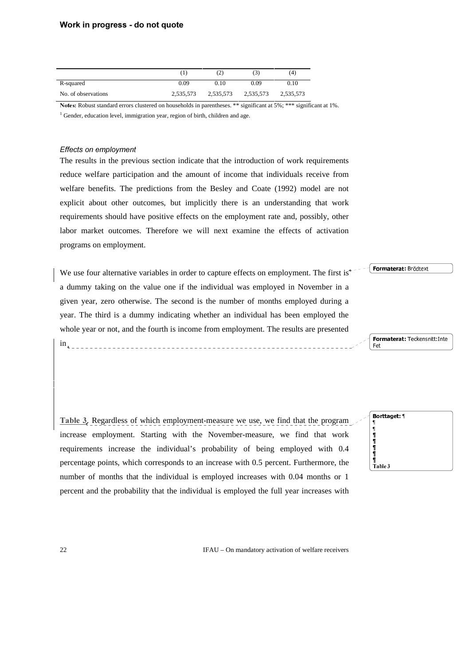#### Work in progress - do not quote

|                     |           | (2)       | $\left(3\right)$ | (4)       |
|---------------------|-----------|-----------|------------------|-----------|
| R-squared           | 0.09      | 0.10      | 0.09             | 0.10      |
| No. of observations | 2.535.573 | 2,535,573 | 2,535,573        | 2.535.573 |

Notes: Robust standard errors clustered on households in parentheses. \*\* significant at 5%; \*\*\* significant at 1%.

<sup>1</sup> Gender, education level, immigration year, region of birth, children and age.

#### **Effects on employment**

The results in the previous section indicate that the introduction of work requirements reduce welfare participation and the amount of income that individuals receive from welfare benefits. The predictions from the Besley and Coate (1992) model are not explicit about other outcomes, but implicitly there is an understanding that work requirements should have positive effects on the employment rate and, possibly, other labor market outcomes. Therefore we will next examine the effects of activation programs on employment.

We use four alternative variables in order to capture effects on employment. The first is<sup>\*</sup> a dummy taking on the value one if the individual was employed in November in a given year, zero otherwise. The second is the number of months employed during a year. The third is a dummy indicating whether an individual has been employed the whole year or not, and the fourth is income from employment. The results are presented

Table 3. Regardless of which employment-measure we use, we find that the program increase employment. Starting with the November-measure, we find that work requirements increase the individual's probability of being employed with 0.4 percentage points, which corresponds to an increase with 0.5 percent. Furthermore, the number of months that the individual is employed increases with 0.04 months or 1 percent and the probability that the individual is employed the full year increases with



Formaterat: Teckensnitt: Inte

 $\equiv$ 

Formaterat: Brödtext

22 IFAU – On mandatory activation of welfare receivers

 $in_{\Lambda}$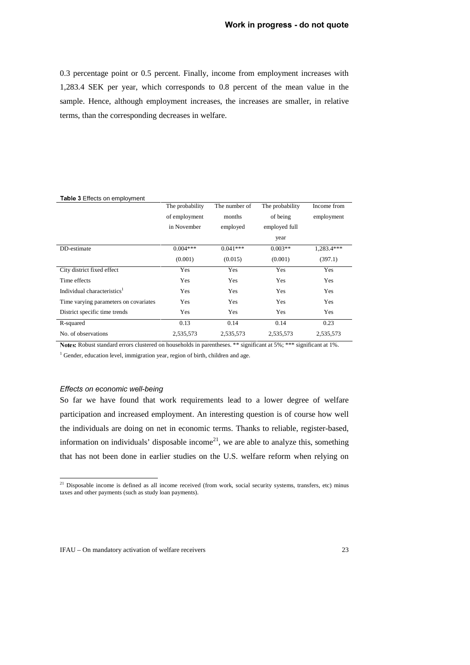0.3 percentage point or 0.5 percent. Finally, income from employment increases with 1,283.4 SEK per year, which corresponds to 0.8 percent of the mean value in the sample. Hence, although employment increases, the increases are smaller, in relative terms, than the corresponding decreases in welfare.

| <b>Table 3 Effects on employment</b>    |                 |               |                 |             |
|-----------------------------------------|-----------------|---------------|-----------------|-------------|
|                                         | The probability | The number of | The probability | Income from |
|                                         | of employment   | months        | of being        | employment  |
|                                         | in November     | employed      | employed full   |             |
|                                         |                 |               | year            |             |
| DD-estimate                             | $0.004***$      | $0.041***$    | $0.003**$       | 1.283.4***  |
|                                         | (0.001)         | (0.015)       | (0.001)         | (397.1)     |
| City district fixed effect              | Yes             | Yes           | Yes             | Yes         |
| Time effects                            | Yes             | Yes           | <b>Yes</b>      | <b>Yes</b>  |
| Individual characteristics <sup>1</sup> | <b>Yes</b>      | Yes           | Yes             | Yes         |
| Time varying parameters on covariates   | Yes             | Yes           | Yes             | Yes         |
| District specific time trends           | Yes             | Yes           | <b>Yes</b>      | Yes         |
| R-squared                               | 0.13            | 0.14          | 0.14            | 0.23        |
| No. of observations                     | 2,535,573       | 2,535,573     | 2,535,573       | 2,535,573   |

Notes: Robust standard errors clustered on households in parentheses. \*\* significant at 5%; \*\*\* significant at 1%.

<sup>1</sup> Gender, education level, immigration year, region of birth, children and age.

#### **Effects on economic well-being**

So far we have found that work requirements lead to a lower degree of welfare participation and increased employment. An interesting question is of course how well the individuals are doing on net in economic terms. Thanks to reliable, register-based, information on individuals' disposable income<sup>21</sup>, we are able to analyze this, something that has not been done in earlier studies on the U.S. welfare reform when relying on

 $2<sup>1</sup>$  Disposable income is defined as all income received (from work, social security systems, transfers, etc) minus taxes and other payments (such as study loan payments).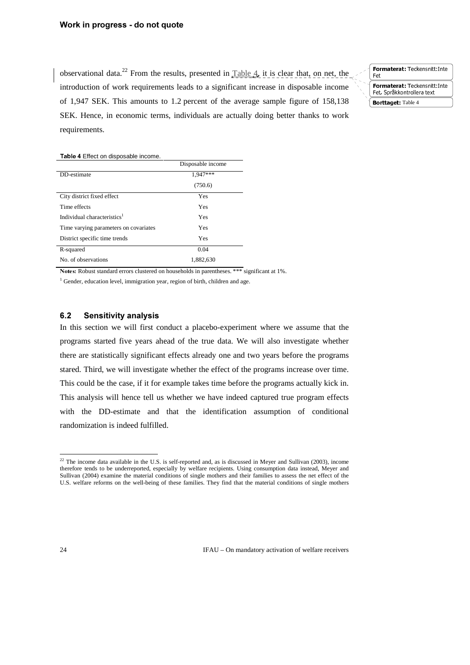observational data.<sup>22</sup> From the results, presented in  $Table 4$ , it is clear that, on net, the introduction of work requirements leads to a significant increase in disposable income of 1,947 SEK. This amounts to 1.2 percent of the average sample figure of 158,138 SEK. Hence, in economic terms, individuals are actually doing better thanks to work requirements.

Formaterat: Teckensnitt: Inte Fet **Political der Feckenbildering** <u>Het, optakkond ohera text</u> **Borttaget:** Table 4

#### Table 4 Effect on disposable income.

|                                         | Disposable income |
|-----------------------------------------|-------------------|
| DD-estimate                             | 1,947***          |
|                                         | (750.6)           |
| City district fixed effect              | Yes               |
| Time effects                            | <b>Yes</b>        |
| Individual characteristics <sup>1</sup> | Yes               |
| Time varying parameters on covariates   | Yes               |
| District specific time trends           | Yes               |
| R-squared                               | 0.04              |
| No. of observations                     | 1,882,630         |

Notes: Robust standard errors clustered on households in parentheses. \*\*\* significant at 1%.

<sup>1</sup> Gender, education level, immigration year, region of birth, children and age.

#### 6.2 **Sensitivity analysis**

In this section we will first conduct a placebo-experiment where we assume that the programs started five years ahead of the true data. We will also investigate whether there are statistically significant effects already one and two years before the programs stared. Third, we will investigate whether the effect of the programs increase over time. This could be the case, if it for example takes time before the programs actually kick in. This analysis will hence tell us whether we have indeed captured true program effects with the DD-estimate and that the identification assumption of conditional randomization is indeed fulfilled.

24 IFAU – On mandatory activation of welfare receivers

 $^{22}$  The income data available in the U.S. is self-reported and, as is discussed in Meyer and Sullivan (2003), income therefore tends to be underreported, especially by welfare recipients. Using consumption data instead, Meyer and Sullivan (2004) examine the material conditions of single mothers and their families to assess the net effect of the U.S. welfare reforms on the well-being of these families. They find that the material conditions of single mothers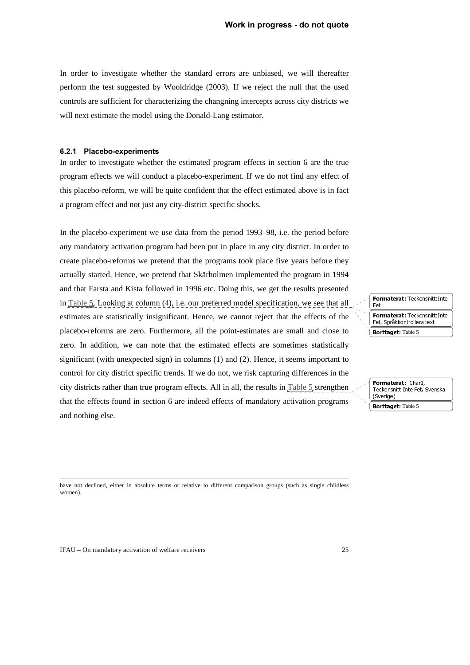In order to investigate whether the standard errors are unbiased, we will thereafter perform the test suggested by Wooldridge (2003). If we reject the null that the used controls are sufficient for characterizing the changning intercepts across city districts we will next estimate the model using the Donald-Lang estimator.

#### 6.2.1 Placebo-experiments

In order to investigate whether the estimated program effects in section 6 are the true program effects we will conduct a placebo-experiment. If we do not find any effect of this placebo-reform, we will be quite confident that the effect estimated above is in fact a program effect and not just any city-district specific shocks.

In the placebo-experiment we use data from the period 1993–98, i.e. the period before any mandatory activation program had been put in place in any city district. In order to create placebo-reforms we pretend that the programs took place five years before they actually started. Hence, we pretend that Skärholmen implemented the program in 1994 and that Farsta and Kista followed in 1996 etc. Doing this, we get the results presented in Table  $5$ . Looking at column (4), i.e. our preferred model specification, we see that all estimates are statistically insignificant. Hence, we cannot reject that the effects of the placebo-reforms are zero. Furthermore, all the point-estimates are small and close to zero. In addition, we can note that the estimated effects are sometimes statistically significant (with unexpected sign) in columns (1) and (2). Hence, it seems important to control for city district specific trends. If we do not, we risk capturing differences in the city districts rather than true program effects. All in all, the results in Table 5 strengthen that the effects found in section 6 are indeed effects of mandatory activation programs and nothing else.

Formaterat: Teckensnitt: Inte Fet<br>Formaterat: Teckensnitt: Inte **Port Controllers Format Control** <u>Het, optakkond ohera text</u> **Borttaget:** Table 5

rommu du um din 1,<br>Teckensnitt Inte Fet Teckenbind.The Fee, Syenska (Sverige) **Borttaget:** Table 5

 have not declined, either in absolute terms or relative to different comparison groups (such as single childless women).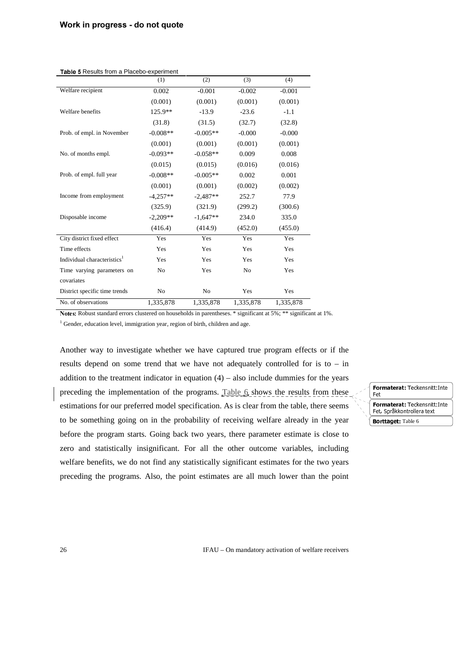|                                         | (1)            | (2)        | (3)            | (4)       |
|-----------------------------------------|----------------|------------|----------------|-----------|
| Welfare recipient                       | 0.002          | $-0.001$   | $-0.002$       | $-0.001$  |
|                                         | (0.001)        | (0.001)    | (0.001)        | (0.001)   |
| Welfare benefits                        | $125.9**$      | $-13.9$    | $-23.6$        | $-1.1$    |
|                                         | (31.8)         | (31.5)     | (32.7)         | (32.8)    |
| Prob. of empl. in November              | $-0.008**$     | $-0.005**$ | $-0.000$       | $-0.000$  |
|                                         | (0.001)        | (0.001)    | (0.001)        | (0.001)   |
| No. of months empl.                     | $-0.093**$     | $-0.058**$ | 0.009          | 0.008     |
|                                         | (0.015)        | (0.015)    | (0.016)        | (0.016)   |
| Prob. of empl. full year                | $-0.008**$     | $-0.005**$ | 0.002          | 0.001     |
|                                         | (0.001)        | (0.001)    | (0.002)        | (0.002)   |
| Income from employment                  | $-4,257**$     | $-2,487**$ | 252.7          | 77.9      |
|                                         | (325.9)        | (321.9)    | (299.2)        | (300.6)   |
| Disposable income                       | $-2.209**$     | $-1,647**$ | 234.0          | 335.0     |
|                                         | (416.4)        | (414.9)    | (452.0)        | (455.0)   |
| City district fixed effect              | Yes            | Yes        | Yes            | Yes       |
| Time effects                            | Yes            | Yes        | Yes            | Yes       |
| Individual characteristics <sup>1</sup> | Yes            | Yes        | Yes            | Yes       |
| Time varying parameters on              | N <sub>0</sub> | Yes        | N <sub>0</sub> | Yes       |
| covariates                              |                |            |                |           |
| District specific time trends           | No             | No         | Yes            | Yes       |
| No. of observations                     | 1,335,878      | 1,335,878  | 1,335,878      | 1,335,878 |

Table 5 Results from a Placebo-experiment

Notes: Robust standard errors clustered on households in parentheses. \* significant at 5%; \*\* significant at 1%.

<sup>1</sup> Gender, education level, immigration year, region of birth, children and age.

Another way to investigate whether we have captured true program effects or if the results depend on some trend that we have not adequately controlled for is to – in addition to the treatment indicator in equation  $(4)$  – also include dummies for the years preceding the implementation of the programs. Table 6 shows the results from these estimations for our preferred model specification. As is clear from the table, there seems to be something going on in the probability of receiving welfare already in the year before the program starts. Going back two years, there parameter estimate is close to zero and statistically insignificant. For all the other outcome variables, including welfare benefits, we do not find any statistically significant estimates for the two years preceding the programs. Also, the point estimates are all much lower than the point

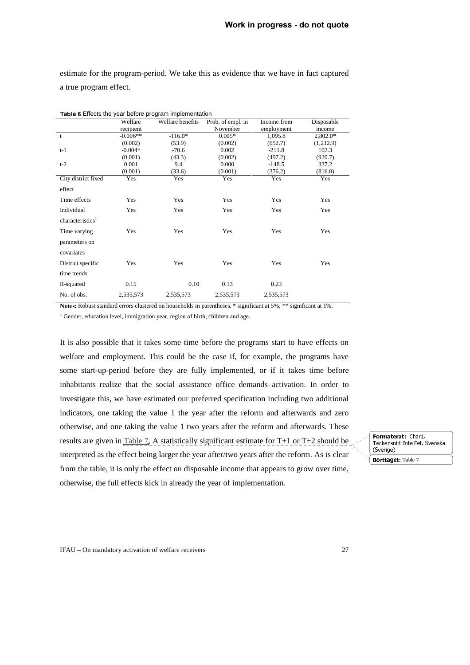estimate for the program-period. We take this as evidence that we have in fact captured a true program effect.

| Table 6 Effects the year before program implementation |            |                  |                   |             |            |
|--------------------------------------------------------|------------|------------------|-------------------|-------------|------------|
|                                                        | Welfare    | Welfare benefits | Prob. of empl. in | Income from | Disposable |
|                                                        | recipient  |                  | November          | employment  | income     |
| t                                                      | $-0.006**$ | $-116.0*$        | $0.005*$          | 1,095.8     | $2,802.0*$ |
|                                                        | (0.002)    | (53.9)           | (0.002)           | (652.7)     | (1,212.9)  |
| $t-1$                                                  | $-0.004*$  | $-70.6$          | 0.002             | $-211.8$    | 102.3      |
|                                                        | (0.001)    | (43.3)           | (0.002)           | (497.2)     | (920.7)    |
| $t-2$                                                  | 0.001      | 9.4              | 0.000             | $-148.5$    | 337.2      |
|                                                        | (0.001)    | (33.6)           | (0.001)           | (376.2)     | (816.0)    |
| City district fixed                                    | Yes        | Yes              | Yes               | Yes         | Yes        |
| effect                                                 |            |                  |                   |             |            |
| Time effects                                           | Yes        | Yes              | Yes               | Yes         | Yes        |
| Individual                                             | Yes        | Yes              | Yes               | Yes         | Yes        |
| characteristics <sup>1</sup>                           |            |                  |                   |             |            |
| Time varying                                           | Yes        | Yes              | Yes               | Yes         | Yes        |
| parameters on                                          |            |                  |                   |             |            |
| covariates                                             |            |                  |                   |             |            |
| District specific                                      | Yes        | Yes              | Yes               | Yes         | Yes        |
| time trends                                            |            |                  |                   |             |            |
| R-squared                                              | 0.15       | 0.10             | 0.13              | 0.23        |            |
| No. of obs.                                            | 2,535,573  | 2,535,573        | 2,535,573         | 2,535,573   |            |

Notes: Robust standard errors clustered on households in parentheses. \* significant at 5%; \*\* significant at 1%.

<sup>1</sup> Gender, education level, immigration year, region of birth, children and age.

It is also possible that it takes some time before the programs start to have effects on welfare and employment. This could be the case if, for example, the programs have some start-up-period before they are fully implemented, or if it takes time before inhabitants realize that the social assistance office demands activation. In order to investigate this, we have estimated our preferred specification including two additional indicators, one taking the value 1 the year after the reform and afterwards and zero otherwise, and one taking the value 1 two years after the reform and afterwards. These results are given in Table 7. A statistically significant estimate for  $T+1$  or  $T+2$  should be interpreted as the effect being larger the year after/two years after the reform. As is clear from the table, it is only the effect on disposable income that appears to grow over time, otherwise, the full effects kick in already the year of implementation.

rommu du um din 1,<br>Teckensnitt Inte Fet Teckensmithing Fee, Syenska (Sverige) Borttaget: Table 7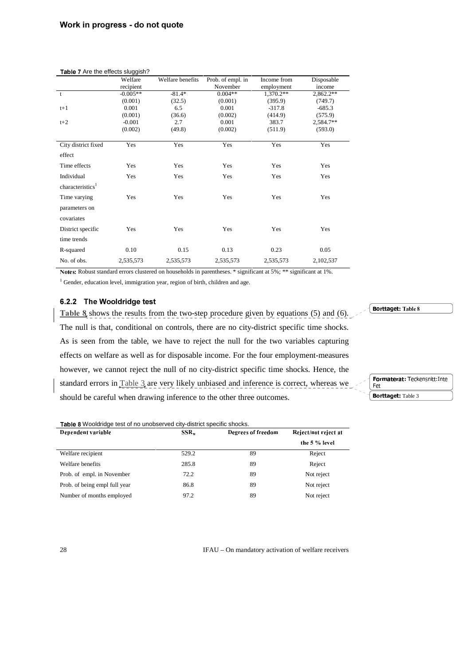|                              | <b>Table 7</b> Are the effects sluggish? |                  |                   |             |            |  |  |
|------------------------------|------------------------------------------|------------------|-------------------|-------------|------------|--|--|
|                              | Welfare                                  | Welfare benefits | Prob. of empl. in | Income from | Disposable |  |  |
|                              | recipient                                |                  | November          | employment  | income     |  |  |
| t                            | $-0.005**$                               | $-81.4*$         | $0.004**$         | 1,370.2**   | 2,862.2**  |  |  |
|                              | (0.001)                                  | (32.5)           | (0.001)           | (395.9)     | (749.7)    |  |  |
| $t+1$                        | 0.001                                    | 6.5              | 0.001             | $-317.8$    | $-685.3$   |  |  |
|                              | (0.001)                                  | (36.6)           | (0.002)           | (414.9)     | (575.9)    |  |  |
| $t+2$                        | $-0.001$                                 | 2.7              | 0.001             | 383.7       | 2,584.7**  |  |  |
|                              | (0.002)                                  | (49.8)           | (0.002)           | (511.9)     | (593.0)    |  |  |
| City district fixed          | Yes                                      | Yes              | Yes               | Yes         | Yes        |  |  |
| effect                       |                                          |                  |                   |             |            |  |  |
| Time effects                 | Yes                                      | Yes              | Yes               | Yes         | Yes        |  |  |
| Individual                   | Yes                                      | Yes              | Yes               | Yes         | Yes        |  |  |
| characteristics <sup>1</sup> |                                          |                  |                   |             |            |  |  |
| Time varying                 | Yes                                      | Yes              | Yes               | Yes         | Yes        |  |  |
| parameters on                |                                          |                  |                   |             |            |  |  |
| covariates                   |                                          |                  |                   |             |            |  |  |
| District specific            | Yes                                      | Yes              | Yes               | Yes         | Yes        |  |  |
| time trends                  |                                          |                  |                   |             |            |  |  |
| R-squared                    | 0.10                                     | 0.15             | 0.13              | 0.23        | 0.05       |  |  |
| No. of obs.                  | 2,535,573                                | 2,535,573        | 2,535,573         | 2,535,573   | 2,102,537  |  |  |

Notes: Robust standard errors clustered on households in parentheses. \* significant at 5%; \*\* significant at 1%.

<sup>1</sup> Gender, education level, immigration year, region of birth, children and age.

#### 6.2.2 The Wooldridge test

Table 8 shows the results from the two-step procedure given by equations (5) and (6). The null is that, conditional on controls, there are no city-district specific time shocks. As is seen from the table, we have to reject the null for the two variables capturing effects on welfare as well as for disposable income. For the four employment-measures however, we cannot reject the null of no city-district specific time shocks. Hence, the standard errors in Table 3 are very likely unbiased and inference is correct, whereas we should be careful when drawing inference to the other three outcomes.

Table 8 Wooldridge test of no unobserved city-district specific shocks.

| Dependent variable            | $SSR_{\star}$ | Degrees of freedom | Reject/not reject at |
|-------------------------------|---------------|--------------------|----------------------|
|                               |               |                    | the $5%$ level       |
| Welfare recipient             | 529.2         | 89                 | Reject               |
| Welfare benefits              | 285.8         | 89                 | Reject               |
| Prob. of empl. in November    | 72.2          | 89                 | Not reject           |
| Prob. of being empl full year | 86.8          | 89                 | Not reject           |
| Number of months employed     | 97.2          | 89                 | Not reject           |

28 IFAU – On mandatory activation of welfare receivers

 $\big\{$  Borttaget: Table 8

Formaterat: Teckensnitt: Inte Fet Borttaget: Table 3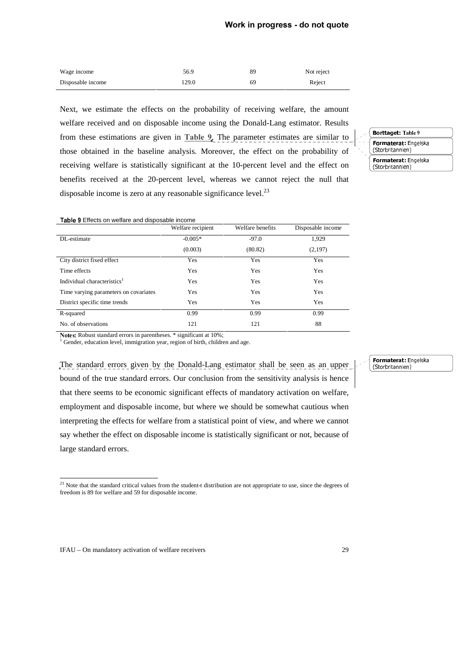| Wage income       | 56.9  | 89 | Not reject |
|-------------------|-------|----|------------|
| Disposable income | 129.0 | 69 | Reject     |

Next, we estimate the effects on the probability of receiving welfare, the amount welfare received and on disposable income using the Donald-Lang estimator. Results from these estimations are given in Table 9. The parameter estimates are similar to those obtained in the baseline analysis. Moreover, the effect on the probability of receiving welfare is statistically significant at the 10-percent level and the effect on benefits received at the 20-percent level, whereas we cannot reject the null that disposable income is zero at any reasonable significance level.<sup>23</sup>

rorma eeratringeloka  $\frac{1}{2}$ rorma eeratringeloka  $\overline{\mathcal{S}}$ **Borttaget: Table 9**<br>**Formaterat: Engelska** 

#### Table 9 Effects on welfare and disposable income

|                                         | Welfare recipient | Welfare benefits | Disposable income |
|-----------------------------------------|-------------------|------------------|-------------------|
| DL-estimate                             | $-0.005*$         | $-97.0$          | 1,929             |
|                                         | (0.003)           | (80.82)          | (2,197)           |
| City district fixed effect              | Yes               | Yes              | Yes               |
| Time effects                            | Yes               | Yes              | Yes               |
| Individual characteristics <sup>1</sup> | Yes               | Yes              | Yes               |
| Time varying parameters on covariates   | Yes               | Yes              | Yes               |
| District specific time trends           | <b>Yes</b>        | <b>Yes</b>       | Yes               |
| R-squared                               | 0.99              | 0.99             | 0.99              |
| No. of observations                     | 121               | 121              | 88                |

Notes: Robust standard errors in parentheses. \* significant at 10%;

<sup>1</sup> Gender, education level, immigration year, region of birth, children and age.

The standard errors given by the Donald-Lang estimator shall be seen as an upper bound of the true standard errors. Our conclusion from the sensitivity analysis is hence that there seems to be economic significant effects of mandatory activation on welfare, employment and disposable income, but where we should be somewhat cautious when interpreting the effects for welfare from a statistical point of view, and where we cannot say whether the effect on disposable income is statistically significant or not, because of large standard errors.

#### T**ornia terati** Engelska<br>(Ctorbritannian)  $\overline{6}$

  $2<sup>23</sup>$  Note that the standard critical values from the student-t distribution are not appropriate to use, since the degrees of freedom is 89 for welfare and 59 for disposable income.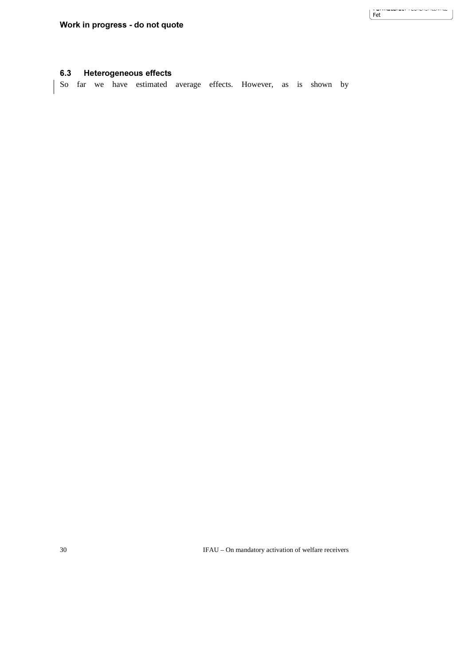$\frac{1}{\sqrt{2}}$ 

)RUPDWHUDW7HFNHQVQLWW,QWH

#### 6.3 Heterogeneous effects

So far we have estimated average effects. However, as is shown by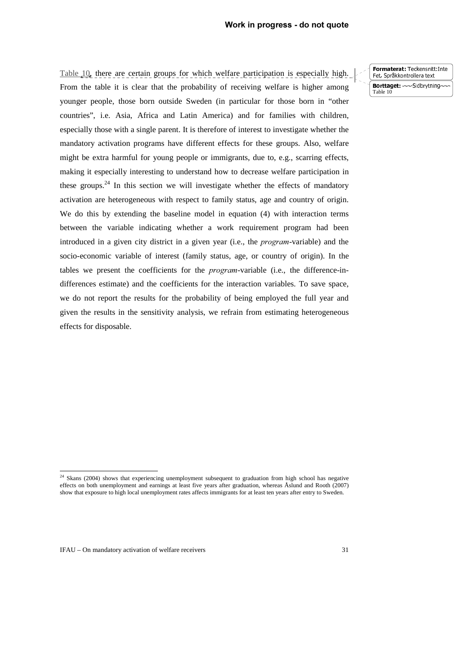Table 10, there are certain groups for which welfare participation is especially high. From the table it is clear that the probability of receiving welfare is higher among younger people, those born outside Sweden (in particular for those born in "other countries", i.e. Asia, Africa and Latin America) and for families with children, especially those with a single parent. It is therefore of interest to investigate whether the mandatory activation programs have different effects for these groups. Also, welfare might be extra harmful for young people or immigrants, due to, e.g., scarring effects, making it especially interesting to understand how to decrease welfare participation in these groups. $24$  In this section we will investigate whether the effects of mandatory activation are heterogeneous with respect to family status, age and country of origin. We do this by extending the baseline model in equation (4) with interaction terms between the variable indicating whether a work requirement program had been introduced in a given city district in a given year (i.e., the *program*-variable) and the socio-economic variable of interest (family status, age, or country of origin). In the tables we present the coefficients for the *program*-variable (i.e., the difference-indifferences estimate) and the coefficients for the interaction variables. To save space, we do not report the results for the probability of being employed the full year and given the results in the sensitivity analysis, we refrain from estimating heterogeneous effects for disposable.

 $\overline{a}$ 

**Political der Feckenbildering** <u>Het, optakkond ohera text</u> Borttaget: - Sidbrytning-

Table 10

 $24$  Skans (2004) shows that experiencing unemployment subsequent to graduation from high school has negative effects on both unemployment and earnings at least five years after graduation, whereas Åslund and Rooth (2007) show that exposure to high local unemployment rates affects immigrants for at least ten years after entry to Sweden.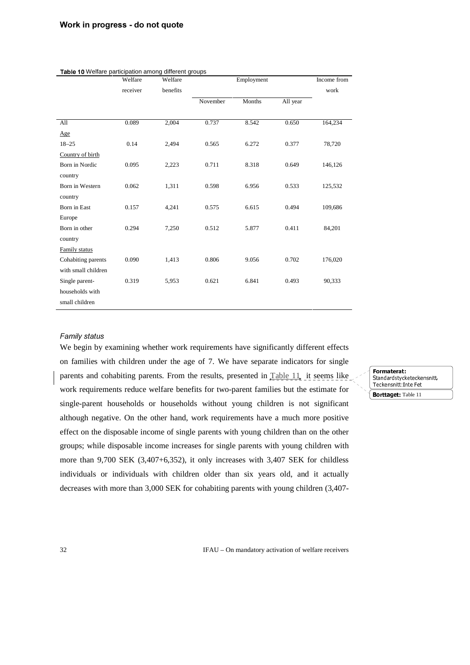| Table 10 Welfare participation among different groups |          |          |          |            |          |             |
|-------------------------------------------------------|----------|----------|----------|------------|----------|-------------|
|                                                       | Welfare  | Welfare  |          | Employment |          | Income from |
|                                                       | receiver | benefits |          |            |          | work        |
|                                                       |          |          | November | Months     | All year |             |
|                                                       |          |          |          |            |          |             |
| All                                                   | 0.089    | 2,004    | 0.737    | 8.542      | 0.650    | 164,234     |
| Age                                                   |          |          |          |            |          |             |
| $18 - 25$                                             | 0.14     | 2,494    | 0.565    | 6.272      | 0.377    | 78,720      |
| Country of birth                                      |          |          |          |            |          |             |
| Born in Nordic                                        | 0.095    | 2,223    | 0.711    | 8.318      | 0.649    | 146,126     |
| country                                               |          |          |          |            |          |             |
| Born in Western                                       | 0.062    | 1,311    | 0.598    | 6.956      | 0.533    | 125,532     |
| country                                               |          |          |          |            |          |             |
| <b>Born in East</b>                                   | 0.157    | 4,241    | 0.575    | 6.615      | 0.494    | 109,686     |
| Europe                                                |          |          |          |            |          |             |
| Born in other                                         | 0.294    | 7,250    | 0.512    | 5.877      | 0.411    | 84,201      |
| country                                               |          |          |          |            |          |             |
| Family status                                         |          |          |          |            |          |             |
| Cohabiting parents                                    | 0.090    | 1,413    | 0.806    | 9.056      | 0.702    | 176,020     |
| with small children                                   |          |          |          |            |          |             |
| Single parent-                                        | 0.319    | 5,953    | 0.621    | 6.841      | 0.493    | 90,333      |
| households with                                       |          |          |          |            |          |             |
| small children                                        |          |          |          |            |          |             |

#### **Family status**

We begin by examining whether work requirements have significantly different effects on families with children under the age of 7. We have separate indicators for single parents and cohabiting parents. From the results, presented in Table 11, it seems like work requirements reduce welfare benefits for two-parent families but the estimate for single-parent households or households without young children is not significant although negative. On the other hand, work requirements have a much more positive effect on the disposable income of single parents with young children than on the other groups; while disposable income increases for single parents with young children with more than 9,700 SEK (3,407+6,352), it only increases with 3,407 SEK for childless individuals or individuals with children older than six years old, and it actually decreases with more than 3,000 SEK for cohabiting parents with young children (3,407-

Formaterat:<br>Standardstycketeckensnitt. Standard Sty CROCORONSMEL,<br>Tockencnitt Into Eet Teckenbilite.html Borttaget: Table 11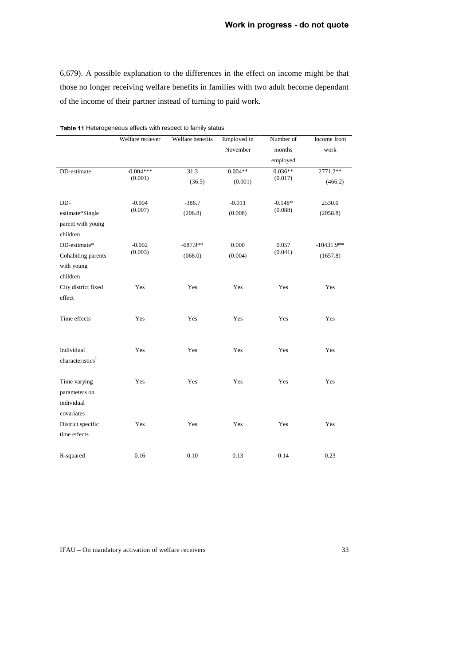6,679). A possible explanation to the differences in the effect on income might be that those no longer receiving welfare benefits in families with two adult become dependant of the income of their partner instead of turning to paid work.

|                              | Welfare reciever       | Welfare benefits | Employed in | Number of            | Income from  |
|------------------------------|------------------------|------------------|-------------|----------------------|--------------|
|                              |                        |                  | November    | months               | work         |
|                              |                        |                  |             | employed             |              |
| DD-estimate                  | $-0.004***$<br>(0.001) | 31.3             | $0.004**$   | $0.036**$<br>(0.017) | 2771.2**     |
|                              |                        | (36.5)           | (0.001)     |                      | (466.2)      |
| DD-                          | $-0.004$               | $-386.7$         | $-0.011$    | $-0.148*$            | 2530.0       |
| estimate*Single              | (0.007)                | (206.8)          | (0.008)     | (0.088)              | (2058.8)     |
| parent with young            |                        |                  |             |                      |              |
| children                     |                        |                  |             |                      |              |
| DD-estimate*                 | $-0.002$               | $-687.9**$       | 0.000       | 0.057                | $-10431.9**$ |
| Cohabiting parents           | (0.003)                | (068.0)          | (0.004)     | (0.041)              | (1657.8)     |
| with young                   |                        |                  |             |                      |              |
| children                     |                        |                  |             |                      |              |
| City district fixed          | Yes                    | Yes              | Yes         | Yes                  | Yes          |
| effect                       |                        |                  |             |                      |              |
| Time effects                 | Yes                    | Yes              | Yes         | Yes                  | Yes          |
|                              |                        |                  |             |                      |              |
| Individual                   | Yes                    | Yes              | Yes         | Yes                  | Yes          |
| characteristics <sup>1</sup> |                        |                  |             |                      |              |
|                              |                        |                  |             |                      |              |
| Time varying                 | Yes                    | Yes              | Yes         | Yes                  | Yes          |
| parameters on                |                        |                  |             |                      |              |
| individual                   |                        |                  |             |                      |              |
| covariates                   |                        |                  |             |                      |              |
| District specific            | Yes                    | Yes              | Yes         | Yes                  | Yes          |
| time effects                 |                        |                  |             |                      |              |
| R-squared                    | 0.16                   | 0.10             | 0.13        | 0.14                 | 0.23         |
|                              |                        |                  |             |                      |              |

Table 11 Heterogeneous effects with respect to family status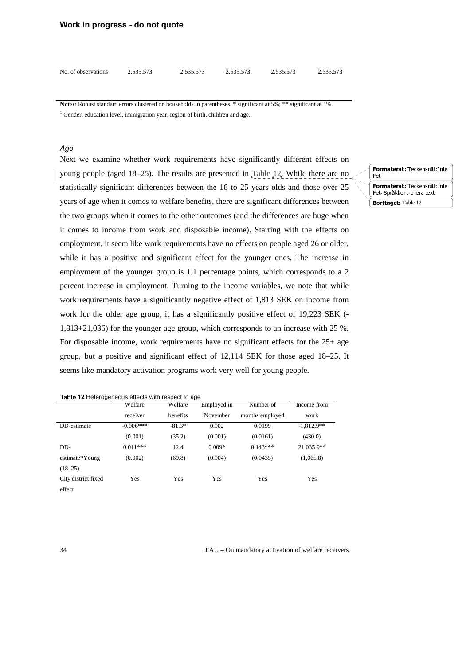#### **Work in progress - do not quote**

| No. of observations | 2,535,573 | 2,535,573 | 2,535,573 | 2,535,573 | 2,535,573 |
|---------------------|-----------|-----------|-----------|-----------|-----------|
|                     |           |           |           |           |           |

Notes: Robust standard errors clustered on households in parentheses. \* significant at 5%; \*\* significant at 1%. <sup>1</sup> Gender, education level, immigration year, region of birth, children and age.

#### A<sub>de</sub>

Next we examine whether work requirements have significantly different effects on young people (aged 18–25). The results are presented in Table 12. While there are no statistically significant differences between the 18 to 25 years olds and those over 25 years of age when it comes to welfare benefits, there are significant differences between the two groups when it comes to the other outcomes (and the differences are huge when it comes to income from work and disposable income). Starting with the effects on employment, it seem like work requirements have no effects on people aged 26 or older, while it has a positive and significant effect for the younger ones. The increase in employment of the younger group is 1.1 percentage points, which corresponds to a 2 percent increase in employment. Turning to the income variables, we note that while work requirements have a significantly negative effect of 1,813 SEK on income from work for the older age group, it has a significantly positive effect of 19,223 SEK (- 1,813+21,036) for the younger age group, which corresponds to an increase with 25 %. For disposable income, work requirements have no significant effects for the 25+ age group, but a positive and significant effect of 12,114 SEK for those aged 18–25. It seems like mandatory activation programs work very well for young people.

|                     | Welfare     | Welfare  | Employed in | Number of       | Income from  |
|---------------------|-------------|----------|-------------|-----------------|--------------|
|                     | receiver    | benefits | November    | months employed | work         |
| DD-estimate         | $-0.006***$ | $-81.3*$ | 0.002       | 0.0199          | $-1.812.9**$ |
|                     | (0.001)     | (35.2)   | (0.001)     | (0.0161)        | (430.0)      |
| DD-                 | $0.011***$  | 12.4     | $0.009*$    | $0.143***$      | 21,035.9**   |
| estimate*Young      | (0.002)     | (69.8)   | (0.004)     | (0.0435)        | (1,065.8)    |
| $(18-25)$           |             |          |             |                 |              |
| City district fixed | Yes         | Yes      | Yes         | Yes             | Yes          |
| effect              |             |          |             |                 |              |

Table 12 Heterogeneous effects with respect to age

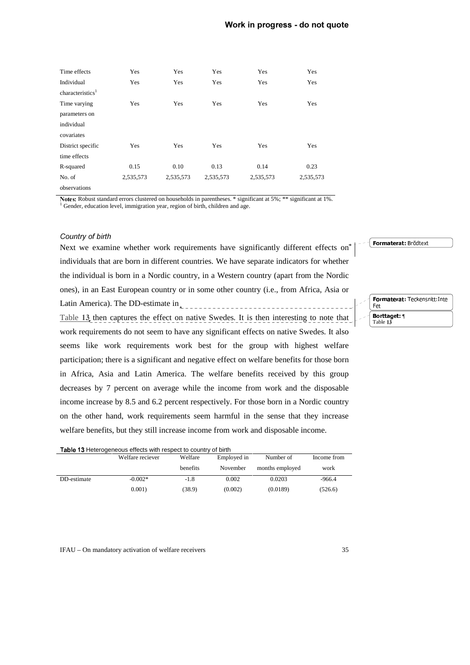| Time effects                 | Yes       | Yes       | Yes       | Yes       | Yes       |
|------------------------------|-----------|-----------|-----------|-----------|-----------|
| Individual                   | Yes       | Yes       | Yes       | Yes       | Yes       |
| characteristics <sup>1</sup> |           |           |           |           |           |
| Time varying                 | Yes       | Yes       | Yes       | Yes       | Yes       |
| parameters on                |           |           |           |           |           |
| individual                   |           |           |           |           |           |
| covariates                   |           |           |           |           |           |
| District specific            | Yes       | Yes       | Yes       | Yes       | Yes       |
| time effects                 |           |           |           |           |           |
| R-squared                    | 0.15      | 0.10      | 0.13      | 0.14      | 0.23      |
| No. of                       | 2,535,573 | 2,535,573 | 2,535,573 | 2,535,573 | 2,535,573 |
| observations                 |           |           |           |           |           |

Notes: Robust standard errors clustered on households in parentheses. \* significant at 5%; \*\* significant at 1%. <sup>1</sup> Gender, education level, immigration year, region of birth, children and age.

#### Country of birth

Next we examine whether work requirements have significantly different effects on<sup>4</sup> individuals that are born in different countries. We have separate indicators for whether the individual is born in a Nordic country, in a Western country (apart from the Nordic ones), in an East European country or in some other country (i.e., from Africa, Asia or Latin America). The DD-estimate in  $\mathbb{L}_{\mathbb{R}}$ Table 13, then captures the effect on native Swedes. It is then interesting to note that work requirements do not seem to have any significant effects on native Swedes. It also seems like work requirements work best for the group with highest welfare participation; there is a significant and negative effect on welfare benefits for those born in Africa, Asia and Latin America. The welfare benefits received by this group decreases by 7 percent on average while the income from work and the disposable income increase by 8.5 and 6.2 percent respectively. For those born in a Nordic country on the other hand, work requirements seem harmful in the sense that they increase welfare benefits, but they still increase income from work and disposable income.

| Table 13 Heterogeneous effects with respect to country of birth                                                                                                                                                                                                                                          |  |
|----------------------------------------------------------------------------------------------------------------------------------------------------------------------------------------------------------------------------------------------------------------------------------------------------------|--|
| $\mathbf{W}^{T}$ 10 $\mathbf{W}^{T}$ 10 $\mathbf{W}^{T}$ 10 $\mathbf{W}^{T}$ 11 $\mathbf{W}^{T}$ 11 $\mathbf{W}^{T}$ 11 $\mathbf{W}^{T}$ 11 $\mathbf{W}^{T}$ 11 $\mathbf{W}^{T}$ 11 $\mathbf{W}^{T}$ 11 $\mathbf{W}^{T}$ 11 $\mathbf{W}^{T}$ 11 $\mathbf{W}^{T}$ 11 $\mathbf{W}^{T}$ 11 $\mathbf{W}^{T}$ |  |

|             | Welfare reciever | Welfare  | Employed in | Number of       | Income from |
|-------------|------------------|----------|-------------|-----------------|-------------|
|             |                  | benefits | November    | months employed | work        |
| DD-estimate | $-0.002*$        | $-1.8$   | 0.002       | 0.0203          | $-966.4$    |
|             | 0.001            | (38.9)   | (0.002)     | (0.0189)        | (526.6)     |

IFAU – On mandatory activation of welfare receivers 35

Formaterat: Teckensnitt: Inte Fet Borttaget: ¶ Table 13

 $\parallel$  Formaterat: Brödtext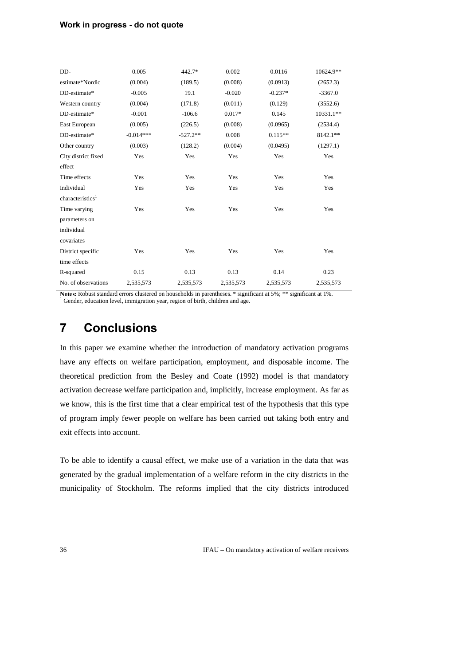#### Work in progress - do not quote

| DD-                          | 0.005       | 442.7*     | 0.002     | 0.0116    | 10624.9** |
|------------------------------|-------------|------------|-----------|-----------|-----------|
| estimate*Nordic              | (0.004)     | (189.5)    | (0.008)   | (0.0913)  | (2652.3)  |
| DD-estimate*                 | $-0.005$    | 19.1       | $-0.020$  | $-0.237*$ | $-3367.0$ |
| Western country              | (0.004)     | (171.8)    | (0.011)   | (0.129)   | (3552.6)  |
| DD-estimate*                 | $-0.001$    | $-106.6$   | $0.017*$  | 0.145     | 10331.1** |
| East European                | (0.005)     | (226.5)    | (0.008)   | (0.0965)  | (2534.4)  |
| DD-estimate*                 | $-0.014***$ | $-527.2**$ | 0.008     | $0.115**$ | 8142.1**  |
| Other country                | (0.003)     | (128.2)    | (0.004)   | (0.0495)  | (1297.1)  |
| City district fixed          | Yes         | Yes        | Yes       | Yes       | Yes       |
| effect                       |             |            |           |           |           |
| Time effects                 | Yes         | Yes        | Yes       | Yes       | Yes       |
| Individual                   | Yes         | Yes        | Yes       | Yes       | Yes       |
| characteristics <sup>1</sup> |             |            |           |           |           |
| Time varying                 | Yes         | Yes        | Yes       | Yes       | Yes       |
| parameters on                |             |            |           |           |           |
| individual                   |             |            |           |           |           |
| covariates                   |             |            |           |           |           |
| District specific            | Yes         | Yes        | Yes       | Yes       | Yes       |
| time effects                 |             |            |           |           |           |
| R-squared                    | 0.15        | 0.13       | 0.13      | 0.14      | 0.23      |
| No. of observations          | 2,535,573   | 2,535,573  | 2,535,573 | 2,535,573 | 2,535,573 |
|                              |             |            |           |           |           |

Notes: Robust standard errors clustered on households in parentheses. \* significant at 5%; \*\* significant at 1%. <sup>1</sup> Gender, education level, immigration year, region of birth, children and age.

# **7** Conclusions

In this paper we examine whether the introduction of mandatory activation programs have any effects on welfare participation, employment, and disposable income. The theoretical prediction from the Besley and Coate (1992) model is that mandatory activation decrease welfare participation and, implicitly, increase employment. As far as we know, this is the first time that a clear empirical test of the hypothesis that this type of program imply fewer people on welfare has been carried out taking both entry and exit effects into account.

To be able to identify a causal effect, we make use of a variation in the data that was generated by the gradual implementation of a welfare reform in the city districts in the municipality of Stockholm. The reforms implied that the city districts introduced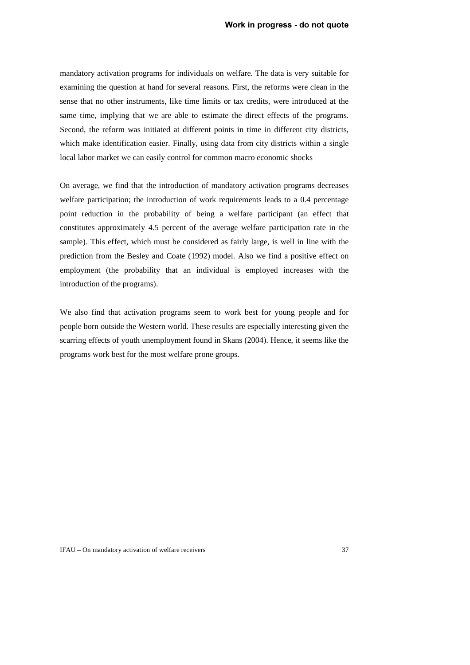mandatory activation programs for individuals on welfare. The data is very suitable for examining the question at hand for several reasons. First, the reforms were clean in the sense that no other instruments, like time limits or tax credits, were introduced at the same time, implying that we are able to estimate the direct effects of the programs. Second, the reform was initiated at different points in time in different city districts, which make identification easier. Finally, using data from city districts within a single local labor market we can easily control for common macro economic shocks

On average, we find that the introduction of mandatory activation programs decreases welfare participation; the introduction of work requirements leads to a 0.4 percentage point reduction in the probability of being a welfare participant (an effect that constitutes approximately 4.5 percent of the average welfare participation rate in the sample). This effect, which must be considered as fairly large, is well in line with the prediction from the Besley and Coate (1992) model. Also we find a positive effect on employment (the probability that an individual is employed increases with the introduction of the programs).

We also find that activation programs seem to work best for young people and for people born outside the Western world. These results are especially interesting given the scarring effects of youth unemployment found in Skans (2004). Hence, it seems like the programs work best for the most welfare prone groups.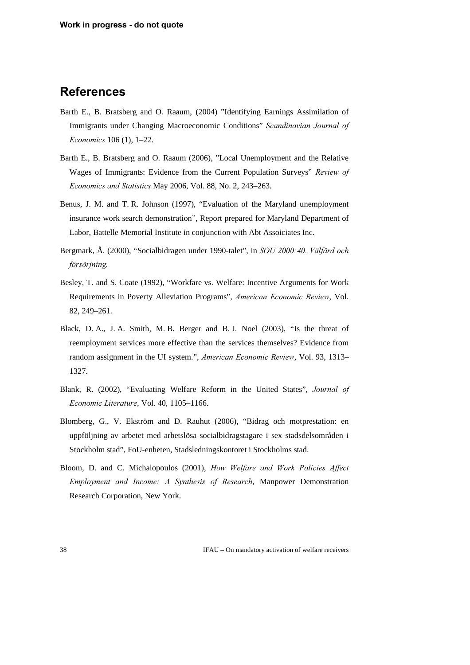### **References**

- Barth E., B. Bratsberg and O. Raaum, (2004) "Identifying Earnings Assimilation of Immigrants under Changing Macroeconomic Conditions" *Scandinavian Journal of Economics* 106 (1), 1–22.
- Barth E., B. Bratsberg and O. Raaum (2006), "Local Unemployment and the Relative Wages of Immigrants: Evidence from the Current Population Surveys" Review of *Economics and Statistics May 2006, Vol. 88, No. 2, 243–263.*
- Benus, J. M. and T. R. Johnson (1997), "Evaluation of the Maryland unemployment insurance work search demonstration", Report prepared for Maryland Department of Labor, Battelle Memorial Institute in conjunction with Abt Assoiciates Inc.
- Bergmark, Å. (2000), "Socialbidragen under 1990-talet", in *SOU 2000:40. Välfärd och* försörjning.
- Besley, T. and S. Coate (1992), "Workfare vs. Welfare: Incentive Arguments for Work Requirements in Poverty Alleviation Programs", *American Economic Review*, Vol. 82, 249–261.
- Black, D. A., J. A. Smith, M. B. Berger and B. J. Noel (2003), "Is the threat of reemployment services more effective than the services themselves? Evidence from random assignment in the UI system.", *American Economic Review*, Vol. 93, 1313– 1327.
- Blank, R. (2002), "Evaluating Welfare Reform in the United States", *Journal of Economic Literature, Vol. 40, 1105–1166.*
- Blomberg, G., V. Ekström and D. Rauhut (2006), "Bidrag och motprestation: en uppföljning av arbetet med arbetslösa socialbidragstagare i sex stadsdelsområden i Stockholm stad", FoU-enheten, Stadsledningskontoret i Stockholms stad.
- Bloom, D. and C. Michalopoulos (2001), *How Welfare and Work Policies Affect Employment and Income: A Synthesis of Research*, Manpower Demonstration Research Corporation, New York.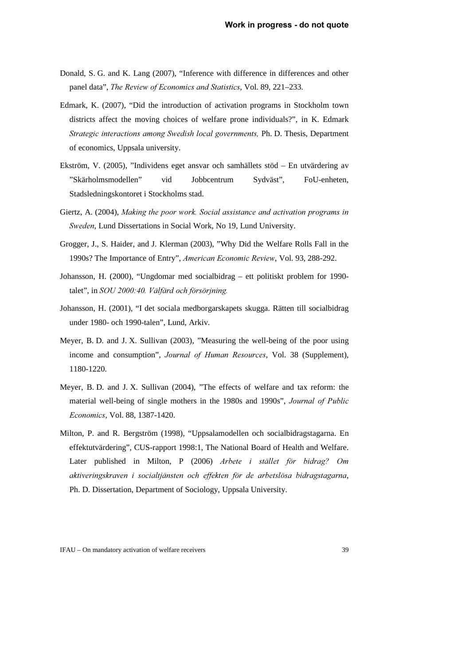- Donald, S. G. and K. Lang (2007), "Inference with difference in differences and other panel data", *The Review of Economics and Statistics*, Vol. 89, 221-233.
- Edmark, K. (2007), "Did the introduction of activation programs in Stockholm town districts affect the moving choices of welfare prone individuals?", in K. Edmark *Strategic interactions among Swedish local governments, Ph. D. Thesis, Department* of economics, Uppsala university.
- Ekström, V. (2005), "Individens eget ansvar och samhällets stöd En utvärdering av "Skärholmsmodellen" vid Jobbcentrum Sydväst", FoU-enheten, Stadsledningskontoret i Stockholms stad.
- Giertz, A. (2004), *Making the poor work. Social assistance and activation programs in Sweden, Lund Dissertations in Social Work, No 19, Lund University.*
- Grogger, J., S. Haider, and J. Klerman (2003), "Why Did the Welfare Rolls Fall in the 1990s? The Importance of Entry", *American Economic Review*, Vol. 93, 288-292.
- Johansson, H. (2000), "Ungdomar med socialbidrag ett politiskt problem for 1990 talet", in *SOU* 2000:40. Välfärd och försörjning.
- Johansson, H. (2001), "I det sociala medborgarskapets skugga. Rätten till socialbidrag under 1980- och 1990-talen", Lund, Arkiv.
- Meyer, B. D. and J. X. Sullivan (2003), "Measuring the well-being of the poor using income and consumption", *Journal of Human Resources*, Vol. 38 (Supplement), 1180-1220.
- Meyer, B. D. and J. X. Sullivan (2004), "The effects of welfare and tax reform: the material well-being of single mothers in the 1980s and 1990s", *Journal of Public Economics*, Vol. 88, 1387-1420.
- Milton, P. and R. Bergström (1998), "Uppsalamodellen och socialbidragstagarna. En effektutvärdering", CUS-rapport 1998:1, The National Board of Health and Welfare. Later published in Milton, P (2006) Arbete i stället för bidrag? Om aktiveringskraven i socialtjänsten och effekten för de arbetslösa bidragstagarna, Ph. D. Dissertation, Department of Sociology, Uppsala University.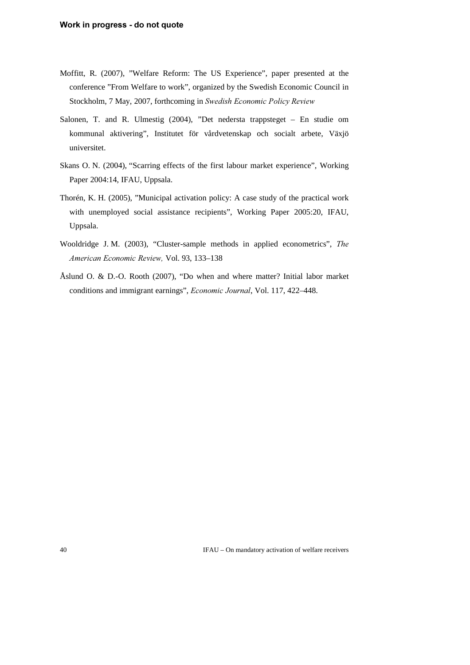- Moffitt, R. (2007), "Welfare Reform: The US Experience", paper presented at the conference "From Welfare to work", organized by the Swedish Economic Council in Stockholm, 7 May, 2007, forthcoming in *Swedish Economic Policy Review*
- Salonen, T. and R. Ulmestig (2004), "Det nedersta trappsteget En studie om kommunal aktivering", Institutet för vårdvetenskap och socialt arbete, Växjö universitet.
- Skans O. N. (2004), "Scarring effects of the first labour market experience", Working Paper 2004:14, IFAU, Uppsala.
- Thorén, K. H. (2005), "Municipal activation policy: A case study of the practical work with unemployed social assistance recipients", Working Paper 2005:20, IFAU, Uppsala.
- Wooldridge J. M. (2003), "Cluster-sample methods in applied econometrics", The *American Economic Review, Vol. 93, 133-138*
- Åslund O. & D.-O. Rooth (2007), "Do when and where matter? Initial labor market conditions and immigrant earnings", *Economic Journal*, Vol. 117, 422–448.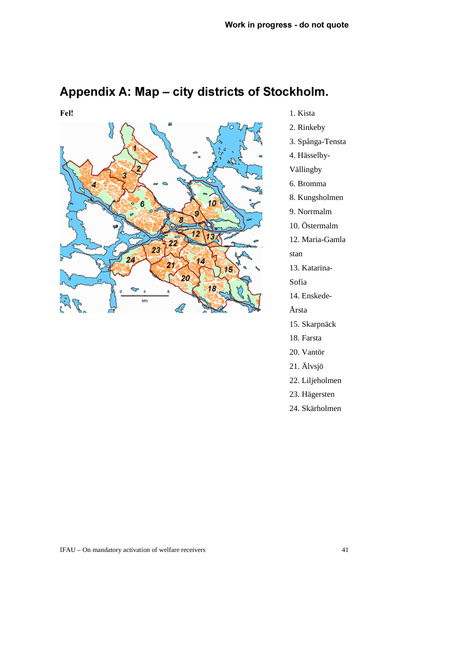

# Appendix A: Map - city districts of Stockholm.

- 1. Kista
- 2. Rinkeby
- 3. Spånga-Tensta
- 4. Hässelby-
- Vällingby
- 6. Bromma
- 8. Kungsholmen
- 9. Norrmalm
- 10. Östermalm
- 12. Maria-Gamla

stan

- 13. Katarina-
- Sofia
- 14. Enskede-
- Årsta
- 15. Skarpnäck
- 18. Farsta
- 20. Vantör
- 21. Älvsjö
- 22. Liljeholmen
- 23. Hägersten
- 24. Skärholmen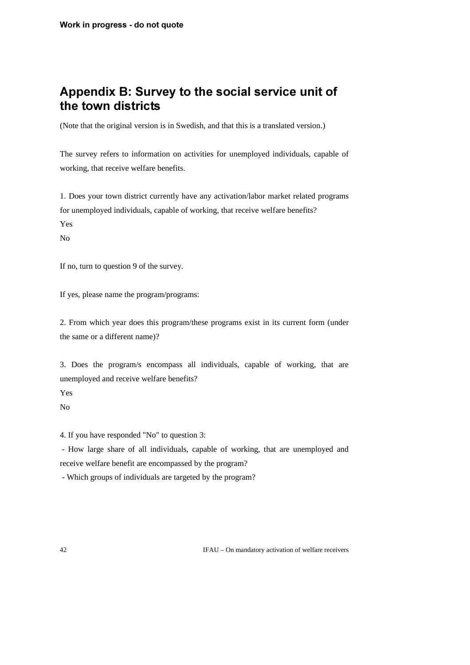# Appendix B: Survey to the social service unit of the town districts

(Note that the original version is in Swedish, and that this is a translated version.)

The survey refers to information on activities for unemployed individuals, capable of working, that receive welfare benefits.

1. Does your town district currently have any activation/labor market related programs for unemployed individuals, capable of working, that receive welfare benefits? Yes

No

If no, turn to question 9 of the survey.

If yes, please name the program/programs:

2. From which year does this program/these programs exist in its current form (under the same or a different name)?

3. Does the program/s encompass all individuals, capable of working, that are unemployed and receive welfare benefits?

Yes

No

4. If you have responded "No" to question 3:

 - How large share of all individuals, capable of working, that are unemployed and receive welfare benefit are encompassed by the program?

- Which groups of individuals are targeted by the program?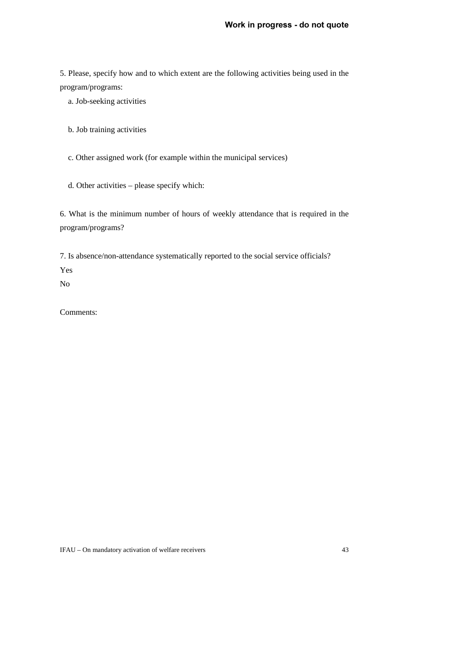5. Please, specify how and to which extent are the following activities being used in the program/programs:

a. Job-seeking activities

b. Job training activities

c. Other assigned work (for example within the municipal services)

d. Other activities – please specify which:

6. What is the minimum number of hours of weekly attendance that is required in the program/programs?

7. Is absence/non-attendance systematically reported to the social service officials?

Yes

No

Comments: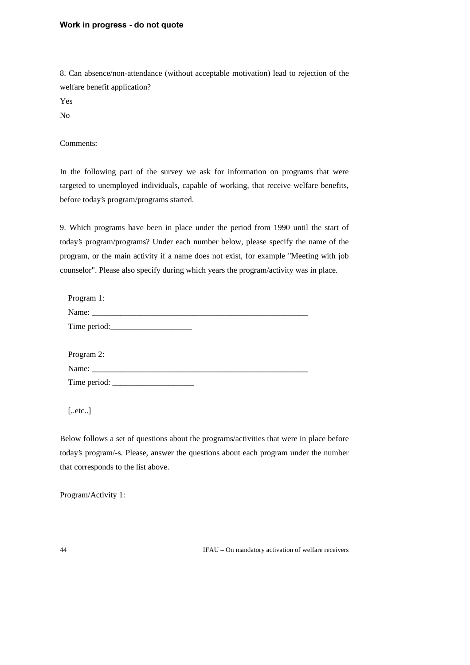#### Work in progress - do not quote

8. Can absence/non-attendance (without acceptable motivation) lead to rejection of the welfare benefit application?

Yes

No

Comments:

In the following part of the survey we ask for information on programs that were targeted to unemployed individuals, capable of working, that receive welfare benefits, before today's program/programs started.

9. Which programs have been in place under the period from 1990 until the start of today's program/programs? Under each number below, please specify the name of the program, or the main activity if a name does not exist, for example "Meeting with job counselor". Please also specify during which years the program/activity was in place.

| Program 1: |  |
|------------|--|
|            |  |
|            |  |
|            |  |
| Program 2: |  |
|            |  |
|            |  |

[..etc..]

Below follows a set of questions about the programs/activities that were in place before today's program/-s. Please, answer the questions about each program under the number that corresponds to the list above.

Program/Activity 1: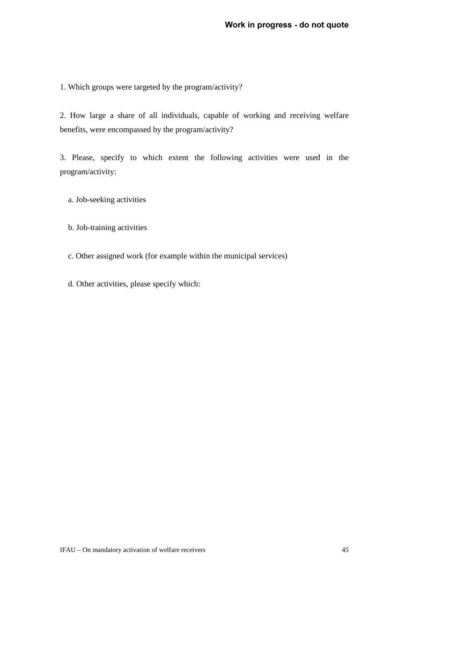1. Which groups were targeted by the program/activity?

2. How large a share of all individuals, capable of working and receiving welfare benefits, were encompassed by the program/activity?

3. Please, specify to which extent the following activities were used in the program/activity:

a. Job-seeking activities

b. Job-training activities

c. Other assigned work (for example within the municipal services)

d. Other activities, please specify which: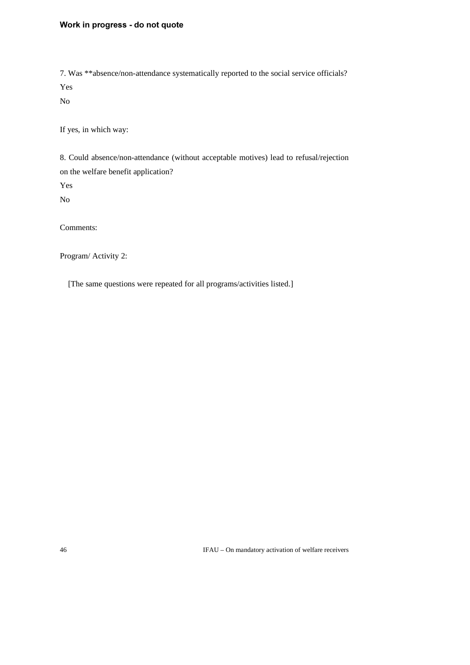#### Work in progress - do not quote

7. Was \*\*absence/non-attendance systematically reported to the social service officials? Yes

No

If yes, in which way:

8. Could absence/non-attendance (without acceptable motives) lead to refusal/rejection on the welfare benefit application?

Yes

No

Comments:

Program/ Activity 2:

[The same questions were repeated for all programs/activities listed.]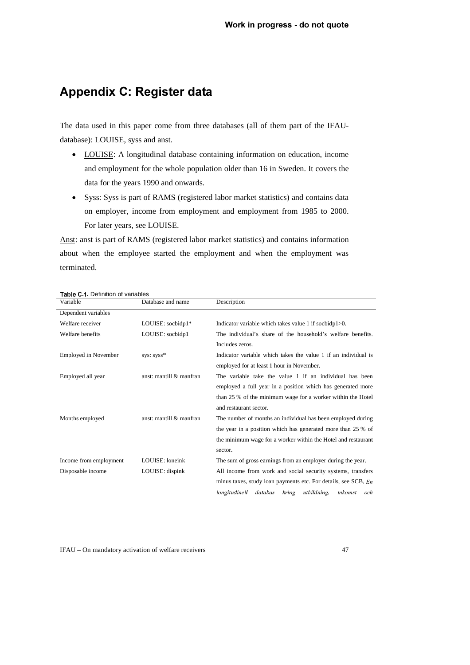## **Appendix C: Register data**

The data used in this paper come from three databases (all of them part of the IFAUdatabase): LOUISE, syss and anst.

- LOUISE: A longitudinal database containing information on education, income and employment for the whole population older than 16 in Sweden. It covers the data for the years 1990 and onwards.
- Syss: Syss is part of RAMS (registered labor market statistics) and contains data on employer, income from employment and employment from 1985 to 2000. For later years, see LOUISE.

Anst: anst is part of RAMS (registered labor market statistics) and contains information about when the employee started the employment and when the employment was terminated.

| Variable                    | Database and name       | Description                                                                           |  |  |  |  |
|-----------------------------|-------------------------|---------------------------------------------------------------------------------------|--|--|--|--|
| Dependent variables         |                         |                                                                                       |  |  |  |  |
| Welfare receiver            | LOUISE: socbidp1*       | Indicator variable which takes value 1 if socbidp $1>0$ .                             |  |  |  |  |
| Welfare benefits            | LOUISE: socbidp1        | The individual's share of the household's welfare benefits.                           |  |  |  |  |
|                             |                         | Includes zeros.                                                                       |  |  |  |  |
| <b>Employed in November</b> | sys: syss*              | Indicator variable which takes the value 1 if an individual is                        |  |  |  |  |
|                             |                         | employed for at least 1 hour in November.                                             |  |  |  |  |
| Employed all year           | anst: mantill & manfran | The variable take the value 1 if an individual has been                               |  |  |  |  |
|                             |                         | employed a full year in a position which has generated more                           |  |  |  |  |
|                             |                         | than 25 % of the minimum wage for a worker within the Hotel<br>and restaurant sector. |  |  |  |  |
|                             |                         |                                                                                       |  |  |  |  |
| Months employed             | anst: mantill & manfran | The number of months an individual has been employed during                           |  |  |  |  |
|                             |                         | the year in a position which has generated more than 25 % of                          |  |  |  |  |
|                             |                         | the minimum wage for a worker within the Hotel and restaurant                         |  |  |  |  |
|                             |                         | sector.                                                                               |  |  |  |  |
| Income from employment      | LOUISE: loneink         | The sum of gross earnings from an employer during the year.                           |  |  |  |  |
| Disposable income           | LOUISE: dispink         | All income from work and social security systems, transfers                           |  |  |  |  |
|                             |                         | minus taxes, study loan payments etc. For details, see SCB, En                        |  |  |  |  |
|                             |                         | utbildning,<br>longitudinell<br>databas<br>kring<br>inkom st<br>och                   |  |  |  |  |

#### Table C 1 Definition of variables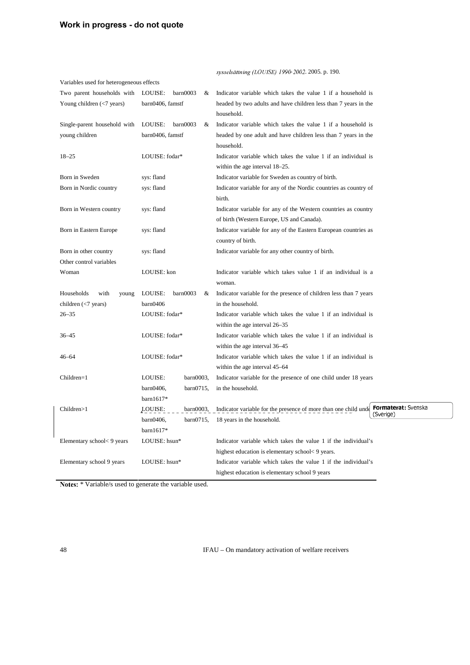| Variables used for heterogeneous effects    |                          |                                                                                                     |  |  |  |
|---------------------------------------------|--------------------------|-----------------------------------------------------------------------------------------------------|--|--|--|
| Two parent households with                  | barn0003<br>LOUISE:<br>& | Indicator variable which takes the value 1 if a household is                                        |  |  |  |
| Young children $\left(\leq 7\right)$ years) | barn0406, famstf         | headed by two adults and have children less than 7 years in the<br>household.                       |  |  |  |
| Single-parent household with                | LOUISE:<br>barn0003<br>& | Indicator variable which takes the value 1 if a household is                                        |  |  |  |
| young children                              | barn0406, famstf         | headed by one adult and have children less than 7 years in the<br>household.                        |  |  |  |
| $18 - 25$                                   | LOUISE: fodar*           | Indicator variable which takes the value 1 if an individual is<br>within the age interval 18–25.    |  |  |  |
| Born in Sweden                              | sys: fland               | Indicator variable for Sweden as country of birth.                                                  |  |  |  |
| Born in Nordic country                      | sys: fland               | Indicator variable for any of the Nordic countries as country of<br>birth.                          |  |  |  |
| Born in Western country                     | sys: fland               | Indicator variable for any of the Western countries as country                                      |  |  |  |
|                                             |                          | of birth (Western Europe, US and Canada).                                                           |  |  |  |
| Born in Eastern Europe                      | sys: fland               | Indicator variable for any of the Eastern European countries as                                     |  |  |  |
|                                             |                          | country of birth.                                                                                   |  |  |  |
| Born in other country                       | sys: fland               | Indicator variable for any other country of birth.                                                  |  |  |  |
| Other control variables                     |                          |                                                                                                     |  |  |  |
| Woman                                       | LOUISE: kon              | Indicator variable which takes value 1 if an individual is a                                        |  |  |  |
|                                             |                          | woman.                                                                                              |  |  |  |
| Households<br>with<br>young                 | LOUISE:<br>barn0003<br>& | Indicator variable for the presence of children less than 7 years                                   |  |  |  |
| children $(\leq 7$ years)                   | barn0406                 | in the household.                                                                                   |  |  |  |
| $26 - 35$                                   | LOUISE: fodar*           | Indicator variable which takes the value 1 if an individual is                                      |  |  |  |
|                                             |                          | within the age interval 26–35                                                                       |  |  |  |
| $36 - 45$                                   | LOUISE: fodar*           | Indicator variable which takes the value 1 if an individual is                                      |  |  |  |
|                                             |                          | within the age interval 36–45                                                                       |  |  |  |
| $46 - 64$                                   | LOUISE: fodar*           | Indicator variable which takes the value 1 if an individual is                                      |  |  |  |
|                                             |                          | within the age interval 45–64                                                                       |  |  |  |
| Children=1                                  | LOUISE:<br>barn0003,     | Indicator variable for the presence of one child under 18 years                                     |  |  |  |
|                                             | $bar0715$ ,<br>barn0406, | in the household.                                                                                   |  |  |  |
|                                             | $bar1617*$               |                                                                                                     |  |  |  |
| Children>1                                  | LOUISE:<br>barn0003,     | Formaterat: Svenska<br>Indicator variable for the presence of more than one child unde<br>(Sverige) |  |  |  |
|                                             | barn0406,<br>$bar0715$ , | 18 years in the household.                                                                          |  |  |  |
|                                             | $bar1617*$               |                                                                                                     |  |  |  |
| Elementary school<9 years                   | LOUISE: hsun*            | Indicator variable which takes the value 1 if the individual's                                      |  |  |  |
|                                             |                          | highest education is elementary school< 9 years.                                                    |  |  |  |
| Elementary school 9 years                   | LOUISE: hsun*            | Indicator variable which takes the value 1 if the individual's                                      |  |  |  |
|                                             |                          | highest education is elementary school 9 years                                                      |  |  |  |

sysselsättning (LOUISE) 1990-2002. 2005. p. 190.

Notes: \* Variable/s used to generate the variable used.